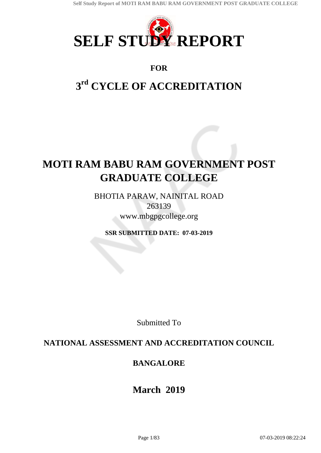

# **FOR**

# **3 rd CYCLE OF ACCREDITATION**

# **MOTI RAM BABU RAM GOVERNMENT POST GRADUATE COLLEGE**

BHOTIA PARAW, NAINITAL ROAD 263139 www.mbgpgcollege.org

**SSR SUBMITTED DATE: 07-03-2019**

Submitted To

# **NATIONAL ASSESSMENT AND ACCREDITATION COUNCIL**

# **BANGALORE**

# **March 2019**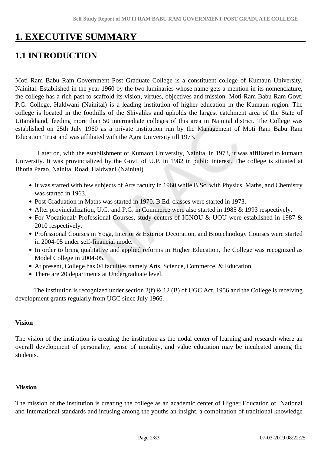# **1. EXECUTIVE SUMMARY**

# **1.1 INTRODUCTION**

Moti Ram Babu Ram Government Post Graduate College is a constituent college of Kumaun University, Nainital. Established in the year 1960 by the two luminaries whose name gets a mention in its nomenclature, the college has a rich past to scaffold its vision, virtues, objectives and mission. Moti Ram Babu Ram Govt. P.G. College, Haldwani (Nainital) is a leading institution of higher education in the Kumaun region. The college is located in the foothills of the Shivaliks and upholds the largest catchment area of the State of Uttarakhand, feeding more than 50 intermediate colleges of this area in Nainital district. The College was established on 25th July 1960 as a private institution run by the Management of Moti Ram Babu Ram Education Trust and was affiliated with the Agra University till 1973.

 Later on, with the establishment of Kumaon University, Nainital in 1973, it was affiliated to kumaun University. It was provincialized by the Govt. of U.P. in 1982 in public interest. The college is situated at Bhotia Parao, Nainital Road, Haldwani (Nainital).

- It was started with few subjects of Arts faculty in 1960 while B.Sc. with Physics, Maths, and Chemistry was started in 1963.
- Post Graduation in Maths was started in 1970. B.Ed. classes were started in 1973.
- After provincialization, U.G. and P.G. in Commerce were also started in 1985 & 1993 respectively.
- For Vocational/ Professional Courses, study centers of IGNOU & UOU were established in 1987 & 2010 respectively.
- Professional Courses in Yoga, Interior & Exterior Decoration, and Biotechnology Courses were started in 2004-05 under self-financial mode.
- In order to bring qualitative and applied reforms in Higher Education, the College was recognized as Model College in 2004-05.
- At present, College has 04 faculties namely Arts, Science, Commerce, & Education.
- There are 20 departments at Undergraduate level.

The institution is recognized under section  $2(f) \& 12(B)$  of UGC Act, 1956 and the College is receiving development grants regularly from UGC since July 1966.

## **Vision**

The vision of the institution is creating the institution as the nodal center of learning and research where an overall development of personality, sense of morality, and value education may be inculcated among the students.

#### **Mission**

The mission of the institution is creating the college as an academic center of Higher Education of National and International standards and infusing among the youths an insight, a combination of traditional knowledge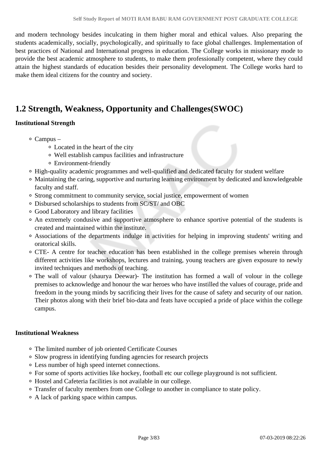and modern technology besides inculcating in them higher moral and ethical values. Also preparing the students academically, socially, psychologically, and spiritually to face global challenges. Implementation of best practices of National and International progress in education. The College works in missionary mode to provide the best academic atmosphere to students, to make them professionally competent, where they could attain the highest standards of education besides their personality development. The College works hard to make them ideal citizens for the country and society.

# **1.2 Strength, Weakness, Opportunity and Challenges(SWOC)**

## **Institutional Strength**

- Campus
	- Located in the heart of the city
	- Well establish campus facilities and infrastructure
	- Environment-friendly
- High-quality academic programmes and well-qualified and dedicated faculty for student welfare
- Maintaining the caring, supportive and nurturing learning environment by dedicated and knowledgeable faculty and staff.
- Strong commitment to community service, social justice, empowerment of women
- Disbursed scholarships to students from SC/ST/ and OBC
- Good Laboratory and library facilities
- An extremely condusive and supportive atmosphere to enhance sportive potential of the students is created and maintained within the institute.
- Associations of the departments indulge in activities for helping in improving students' writing and oratorical skills.
- CTE- A centre for teacher education has been established in the college premises wherein through different activities like workshops, lectures and training, young teachers are given exposure to newly invited techniques and methods of teaching.
- The wall of valour (shaurya Deewar)- The institution has formed a wall of volour in the college premises to acknowledge and honour the war heroes who have instilled the values of courage, pride and freedom in the young minds by sacrificing their lives for the cause of safety and security of our nation. Their photos along with their brief bio-data and feats have occupied a pride of place within the college campus.

#### **Institutional Weakness**

- The limited number of job oriented Certificate Courses
- Slow progress in identifying funding agencies for research projects
- Less number of high speed internet connections.
- For some of sports activities like hockey, football etc our college playground is not sufficient.
- Hostel and Cafeteria facilities is not available in our college.
- Transfer of faculty members from one College to another in compliance to state policy.
- A lack of parking space within campus.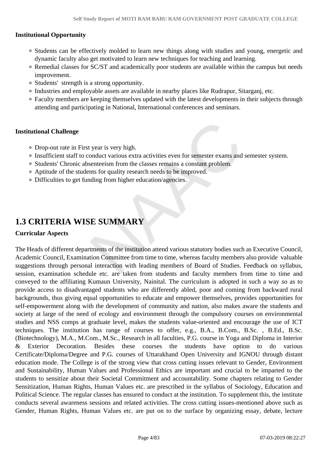#### **Institutional Opportunity**

- Students can be effectively molded to learn new things along with studies and young, energetic and dynamic faculty also get motivated to learn new techniques for teaching and learning.
- Remedial classes for SC/ST and academically poor students are available within the campus but needs improvement.
- Students' strength is a strong opportunity.
- Industries and employable assets are available in nearby places like Rudrapur, Sitarganj, etc.
- Faculty members are keeping themselves updated with the latest developments in their subjects through attending and participating in National, International conferences and seminars.

#### **Institutional Challenge**

- Drop-out rate in First year is very high.
- Insufficient staff to conduct various extra activities even for semester exams and semester system.
- Students' Chronic absenteeism from the classes remains a constant problem.
- Aptitude of the students for quality research needs to be improved.
- Difficulties to get funding from higher education/agencies.

# **1.3 CRITERIA WISE SUMMARY**

#### **Curricular Aspects**

The Heads of different departments of the institution attend various statutory bodies such as Executive Council, Academic Council, Examination Committee from time to time, whereas faculty members also provide valuable suggestions through personal interaction with leading members of Board of Studies. Feedback on syllabus, session, examination schedule etc. are taken from students and faculty members from time to time and conveyed to the affiliating Kumaun University, Nainital. The curriculum is adopted in such a way so as to provide access to disadvantaged students who are differently abled, poor and coming from backward rural backgrounds, thus giving equal opportunities to educate and empower themselves, provides opportunities for self-empowerment along with the development of community and nation, also makes aware the students and society at large of the need of ecology and environment through the compulsory courses on environmental studies and NSS comps at graduate level, makes the students value-oriented and encourage the use of ICT techniques. The institution has range of courses to offer, e.g., B.A., B.Com., B.Sc. , B.Ed., B.Sc. (Biotechnology), M.A., M.Com., M.Sc., Research in all faculties, P.G. course in Yoga and Diploma in Interior & Exterior Decoration. Besides these courses the students have option to do various Certificate/Diploma/Degree and P.G. courses of Uttarakhand Open University and IGNOU through distant education mode. The College is of the strong view that cross cutting issues relevant to Gender, Environment and Sustainability, Human Values and Professional Ethics are important and crucial to be imparted to the students to sensitize about their Societal Commitment and accountability. Some chapters relating to Gender Sensitization, Human Rights, Human Values etc. are prescribed in the syllabus of Sociology, Education and Political Science. The regular classes has ensured to conduct at the institution. To supplement this, the institute conducts several awareness sessions and related activities. The cross cutting issues-mentioned above such as Gender, Human Rights, Human Values etc. are put on to the surface by organizing essay, debate, lecture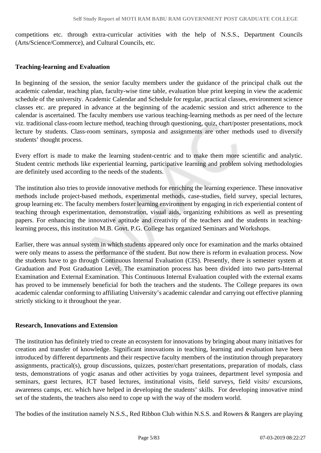competitions etc. through extra-curricular activities with the help of N.S.S., Department Councils (Arts/Science/Commerce), and Cultural Councils, etc.

#### **Teaching-learning and Evaluation**

In beginning of the session, the senior faculty members under the guidance of the principal chalk out the academic calendar, teaching plan, faculty-wise time table, evaluation blue print keeping in view the academic schedule of the university. Academic Calendar and Schedule for regular, practical classes, environment science classes etc. are prepared in advance at the beginning of the academic session and strict adherence to the calendar is ascertained. The faculty members use various teaching-learning methods as per need of the lecture viz. traditional class-room lecture method, teaching through questioning, quiz, chart/poster presentations, mock lecture by students. Class-room seminars, symposia and assignments are other methods used to diversify students' thought process.

Every effort is made to make the learning student-centric and to make them more scientific and analytic. Student centric methods like experiential learning, participative learning and problem solving methodologies are definitely used according to the needs of the students.

The institution also tries to provide innovative methods for enriching the learning experience. These innovative methods include project-based methods, experimental methods, case-studies, field survey, special lectures, group learning etc. The faculty members foster learning environment by engaging in rich experiential content of teaching through experimentation, demonstration, visual aids, organizing exhibitions as well as presenting papers. For enhancing the innovative aptitude and creativity of the teachers and the students in teachinglearning process, this institution M.B. Govt. P.G. College has organized Seminars and Workshops.

Earlier, there was annual system in which students appeared only once for examination and the marks obtained were only means to assess the performance of the student. But now there is reform in evaluation process. Now the students have to go through Continuous Internal Evaluation (CIS). Presently, there is semester system at Graduation and Post Graduation Level. The examination process has been divided into two parts-Internal Examination and External Examination. This Continuous Internal Evaluation coupled with the external exams has proved to be immensely beneficial for both the teachers and the students. The College prepares its own academic calendar conforming to affiliating University's academic calendar and carrying out effective planning strictly sticking to it throughout the year.

#### **Research, Innovations and Extension**

The institution has definitely tried to create an ecosystem for innovations by bringing about many initiatives for creation and transfer of knowledge. Significant innovations in teaching, learning and evaluation have been introduced by different departments and their respective faculty members of the institution through preparatory assignments, practical(s), group discussions, quizzes, poster/chart presentations, preparation of modals, class tests, demonstrations of yogic asanas and other activities by yoga trainees, department level symposia and seminars, guest lectures, ICT based lectures, institutional visits, field surveys, field visits/ excursions, awareness camps, etc. which have helped in developing the students' skills. For developing innovative mind set of the students, the teachers also need to cope up with the way of the modern world.

The bodies of the institution namely N.S.S., Red Ribbon Club within N.S.S. and Rowers & Rangers are playing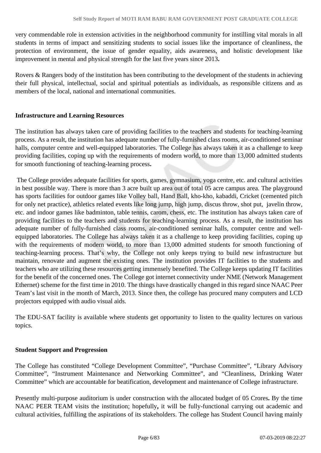very commendable role in extension activities in the neighborhood community for instilling vital morals in all students in terms of impact and sensitizing students to social issues like the importance of cleanliness, the protection of environment, the issue of gender equality, aids awareness, and holistic development like improvement in mental and physical strength for the last five years since 2013**.** 

Rovers & Rangers body of the institution has been contributing to the development of the students in achieving their full physical, intellectual, social and spiritual potentials as individuals, as responsible citizens and as members of the local, national and international communities.

### **Infrastructure and Learning Resources**

The institution has always taken care of providing facilities to the teachers and students for teaching-learning process. As a result, the institution has adequate number of fully-furnished class rooms, air-conditioned seminar halls, computer centre and well-equipped laboratories. The College has always taken it as a challenge to keep providing facilities, coping up with the requirements of modern world, to more than 13,000 admitted students for smooth functioning of teaching-learning process**.**

 The College provides adequate facilities for sports, games, gymnasium, yoga centre, etc. and cultural activities in best possible way. There is more than 3 acre built up area out of total 05 acre campus area. The playground has sports facilities for outdoor games like Volley ball, Hand Ball, kho-kho, kabaddi, Cricket (cemented pitch for only net practice), athletics related events like long jump, high jump, discus throw, shot put, javelin throw, etc. and indoor games like badminton, table tennis, carom, chess, etc. The institution has always taken care of providing facilities to the teachers and students for teaching-learning process. As a result, the institution has adequate number of fully-furnished class rooms, air-conditioned seminar halls, computer centre and wellequipped laboratories. The College has always taken it as a challenge to keep providing facilities, coping up with the requirements of modern world, to more than 13,000 admitted students for smooth functioning of teaching-learning process. That's why, the College not only keeps trying to build new infrastructure but maintain, renovate and augment the existing ones. The institution provides IT facilities to the students and teachers who are utilizing these resources getting immensely benefited. The College keeps updating IT facilities for the benefit of the concerned ones. The College got internet connectivity under NME (Network Management Ethernet) scheme for the first time in 2010. The things have drastically changed in this regard since NAAC Peer Team's last visit in the month of March, 2013. Since then, the college has procured many computers and LCD projectors equipped with audio visual aids.

The EDU-SAT facility is available where students get opportunity to listen to the quality lectures on various topics.

#### **Student Support and Progression**

The College has constituted "College Development Committee", "Purchase Committee", "Library Advisory Committee", "Instrument Maintenance and Networking Committee", and "Cleanliness, Drinking Water Committee" which are accountable for beatification, development and maintenance of College infrastructure.

Presently multi-purpose auditorium is under construction with the allocated budget of 05 Crores**.** By the time NAAC PEER TEAM visits the institution; hopefully**,** it will be fully-functional carrying out academic and cultural activities, fulfilling the aspirations of its stakeholders. The college has Student Council having mainly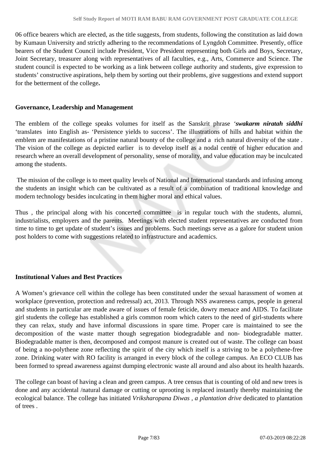06 office bearers which are elected, as the title suggests, from students, following the constitution as laid down by Kumaun University and strictly adhering to the recommendations of Lyngdoh Committee. Presently, office bearers of the Student Council include President, Vice President representing both Girls and Boys, Secretary, Joint Secretary, treasurer along with representatives of all faculties, e.g., Arts, Commerce and Science. The student council is expected to be working as a link between college authority and students, give expression to students' constructive aspirations, help them by sorting out their problems, give suggestions and extend support for the betterment of the college**.** 

#### **Governance, Leadership and Management**

The emblem of the college speaks volumes for itself as the Sanskrit phrase *'swakarm niratah siddhi* 'translates into English as- 'Persistence yields to success'. The illustrations of hills and habitat within the emblem are manifestations of a pristine natural bounty of the college and a rich natural diversity of the state . The vision of the college as depicted earlier is to develop itself as a nodal centre of higher education and research where an overall development of personality, sense of morality, and value education may be inculcated among the students.

 The mission of the college is to meet quality levels of National and International standards and infusing among the students an insight which can be cultivated as a result of a combination of traditional knowledge and modern technology besides inculcating in them higher moral and ethical values.

Thus , the principal along with his concerted committee is in regular touch with the students, alumni, industrialists, employers and the parents. Meetings with elected student representatives are conducted from time to time to get update of student's issues and problems. Such meetings serve as a galore for student union post holders to come with suggestions related to infrastructure and academics.

#### **Institutional Values and Best Practices**

A Women's grievance cell within the college has been constituted under the sexual harassment of women at workplace (prevention, protection and redressal) act, 2013. Through NSS awareness camps, people in general and students in particular are made aware of issues of female feticide, dowry menace and AIDS. To facilitate girl students the college has established a girls common room which caters to the need of girl-students where they can relax, study and have informal discussions in spare time. Proper care is maintained to see the decomposition of the waste matter though segregation biodegradable and non- biodegradable matter. Biodegradable matter is then, decomposed and compost manure is created out of waste. The college can boast of being a no-polythene zone reflecting the spirit of the city which itself is a striving to be a polythene-free zone. Drinking water with RO facility is arranged in every block of the college campus. An ECO CLUB has been formed to spread awareness against dumping electronic waste all around and also about its health hazards.

The college can boast of having a clean and green campus. A tree census that is counting of old and new trees is done and any accidental /natural damage or cutting or uprooting is replaced instantly thereby maintaining the ecological balance. The college has initiated *Vriksharopana Diwas , a plantation drive* dedicated to plantation of trees .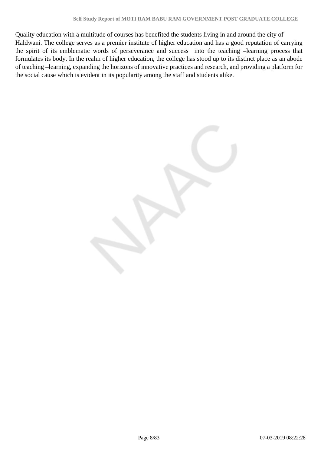Quality education with a multitude of courses has benefited the students living in and around the city of Haldwani. The college serves as a premier institute of higher education and has a good reputation of carrying the spirit of its emblematic words of perseverance and success into the teaching –learning process that formulates its body. In the realm of higher education, the college has stood up to its distinct place as an abode of teaching –learning, expanding the horizons of innovative practices and research, and providing a platform for the social cause which is evident in its popularity among the staff and students alike.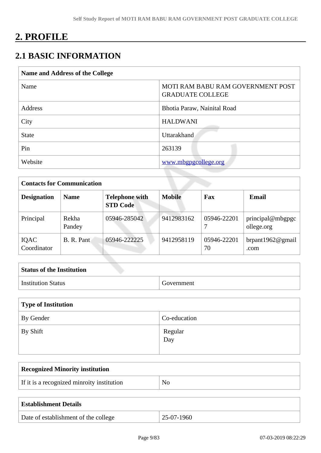# **2. PROFILE**

# **2.1 BASIC INFORMATION**

| Name and Address of the College |                                                              |  |
|---------------------------------|--------------------------------------------------------------|--|
| Name                            | MOTI RAM BABU RAM GOVERNMENT POST<br><b>GRADUATE COLLEGE</b> |  |
| Address                         | Bhotia Paraw, Nainital Road                                  |  |
| City                            | <b>HALDWANI</b>                                              |  |
| <b>State</b>                    | <b>Uttarakhand</b>                                           |  |
| Pin                             | 263139                                                       |  |
| Website                         | www.mbgpgcollege.org                                         |  |

| <b>Contacts for Communication</b> |                 |                                          |               |                   |                                |
|-----------------------------------|-----------------|------------------------------------------|---------------|-------------------|--------------------------------|
| <b>Designation</b>                | <b>Name</b>     | <b>Telephone with</b><br><b>STD Code</b> | <b>Mobile</b> | Fax               | <b>Email</b>                   |
| Principal                         | Rekha<br>Pandey | 05946-285042                             | 9412983162    | 05946-22201       | principal@mbgpgc<br>ollege.org |
| IQAC<br>Coordinator               | B. R. Pant      | 05946-222225                             | 9412958119    | 05946-22201<br>70 | brpant1962 $@$ gmail<br>.com   |

| <b>Status of the Institution</b> |            |
|----------------------------------|------------|
| <b>Institution Status</b>        | Government |

| Type of Institution |                |  |
|---------------------|----------------|--|
| By Gender           | Co-education   |  |
| By Shift            | Regular<br>Day |  |

| <b>Recognized Minority institution</b>     |    |
|--------------------------------------------|----|
| If it is a recognized minroity institution | No |
|                                            |    |

| <b>Establishment Details</b>         |              |
|--------------------------------------|--------------|
| Date of establishment of the college | $25-07-1960$ |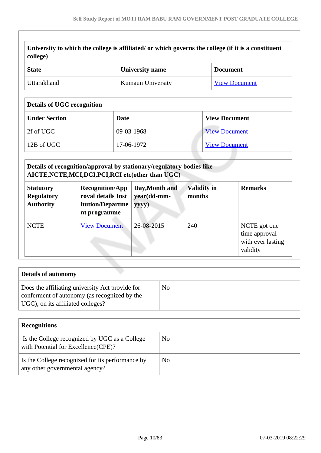| University to which the college is affiliated/ or which governs the college (if it is a constituent<br>  college) |
|-------------------------------------------------------------------------------------------------------------------|
|                                                                                                                   |

| State       | <b>University name</b>   | <b>Document</b>      |  |
|-------------|--------------------------|----------------------|--|
| Uttarakhand | <b>Kumaun University</b> | <b>View Document</b> |  |

#### **Details of UGC recognition**

| <b>Under Section</b> | Date       | <b>View Document</b> |
|----------------------|------------|----------------------|
| 2f of UGC            | 09-03-1968 | <b>View Document</b> |
| 12B of UGC           | 17-06-1972 | <b>View Document</b> |

#### **Details of recognition/approval by stationary/regulatory bodies like AICTE,NCTE,MCI,DCI,PCI,RCI etc(other than UGC) Statutory Regulatory Authority Recognition/App roval details Inst itution/Departme nt programme Day,Month and year(dd-mmyyyy) Validity in months Remarks** NCTE [View Document](https://assessmentonline.naac.gov.in/storage/app/hei/iiqa/sradocuments/102560_2616_4_1547548577.pdf) 26-08-2015 240 NCTE got one time approval with ever lasting validity

| <b>Details of autonomy</b>                                                                                                           |    |
|--------------------------------------------------------------------------------------------------------------------------------------|----|
| Does the affiliating university Act provide for<br>conferment of autonomy (as recognized by the<br>UGC), on its affiliated colleges? | No |

| <b>Recognitions</b>                                                                  |    |  |
|--------------------------------------------------------------------------------------|----|--|
| Is the College recognized by UGC as a College<br>with Potential for Excellence(CPE)? | No |  |
| Is the College recognized for its performance by<br>any other governmental agency?   | No |  |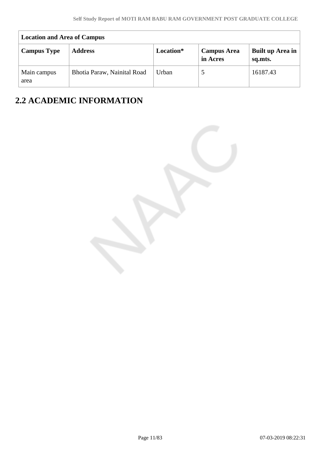|                     | <b>Location and Area of Campus</b> |       |                                |                             |  |
|---------------------|------------------------------------|-------|--------------------------------|-----------------------------|--|
| <b>Campus Type</b>  | Location*<br><b>Address</b>        |       | <b>Campus Area</b><br>in Acres | Built up Area in<br>sq.mts. |  |
| Main campus<br>area | Bhotia Paraw, Nainital Road        | Urban |                                | 16187.43                    |  |

# **2.2 ACADEMIC INFORMATION**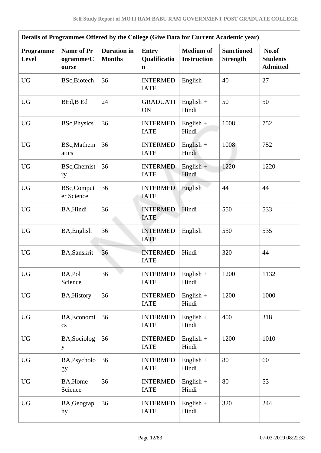| Details of Programmes Offered by the College (Give Data for Current Academic year) |                                         |                                     |                                             |                                        |                                      |                                             |  |  |  |  |
|------------------------------------------------------------------------------------|-----------------------------------------|-------------------------------------|---------------------------------------------|----------------------------------------|--------------------------------------|---------------------------------------------|--|--|--|--|
| Programme<br><b>Level</b>                                                          | <b>Name of Pr</b><br>ogramme/C<br>ourse | <b>Duration</b> in<br><b>Months</b> | <b>Entry</b><br>Qualificatio<br>$\mathbf n$ | <b>Medium of</b><br><b>Instruction</b> | <b>Sanctioned</b><br><b>Strength</b> | No.of<br><b>Students</b><br><b>Admitted</b> |  |  |  |  |
| <b>UG</b>                                                                          | BSc, Biotech                            | 36                                  | <b>INTERMED</b><br><b>IATE</b>              | English                                | 40                                   | 27                                          |  |  |  |  |
| $\rm U G$                                                                          | BEd, B Ed                               | 24                                  | <b>GRADUATI</b><br>ON                       | $English +$<br>Hindi                   | 50                                   | 50                                          |  |  |  |  |
| <b>UG</b>                                                                          | <b>BSc, Physics</b>                     | 36                                  | <b>INTERMED</b><br><b>IATE</b>              | English $+$<br>Hindi                   | 1008                                 | 752                                         |  |  |  |  |
| <b>UG</b>                                                                          | <b>BSc,Mathem</b><br>atics              | 36                                  | <b>INTERMED</b><br><b>IATE</b>              | $English +$<br>Hindi                   | 1008                                 | 752                                         |  |  |  |  |
| UG                                                                                 | <b>BSc, Chemist</b><br>ry               | 36                                  | <b>INTERMED</b><br><b>IATE</b>              | $English +$<br>Hindi                   | 1220                                 | 1220                                        |  |  |  |  |
| <b>UG</b>                                                                          | <b>BSc,Comput</b><br>er Science         | 36                                  | <b>INTERMED</b><br><b>IATE</b>              | English                                | 44                                   | 44                                          |  |  |  |  |
| <b>UG</b>                                                                          | BA, Hindi                               | 36                                  | <b>INTERMED</b><br><b>IATE</b>              | Hindi                                  | 550                                  | 533                                         |  |  |  |  |
| <b>UG</b>                                                                          | BA, English                             | 36                                  | <b>INTERMED</b><br><b>IATE</b>              | English                                | 550                                  | 535                                         |  |  |  |  |
| <b>UG</b>                                                                          | <b>BA,Sanskrit</b>                      | 36                                  | <b>INTERMED</b><br><b>IATE</b>              | Hindi                                  | 320                                  | 44                                          |  |  |  |  |
| $\rm U G$                                                                          | BA,Pol<br>Science                       | 36                                  | <b>INTERMED</b><br><b>IATE</b>              | $English +$<br>Hindi                   | 1200                                 | 1132                                        |  |  |  |  |
| <b>UG</b>                                                                          | <b>BA, History</b>                      | 36                                  | <b>INTERMED</b><br><b>IATE</b>              | $English +$<br>Hindi                   | 1200                                 | 1000                                        |  |  |  |  |
| ${\rm U}{\rm G}$                                                                   | BA, Economi<br>$\mathbf{c}\mathbf{s}$   | 36                                  | <b>INTERMED</b><br><b>IATE</b>              | English $+$<br>Hindi                   | 400                                  | 318                                         |  |  |  |  |
| ${\rm U}{\rm G}$                                                                   | BA, Sociolog<br>y                       | 36                                  | <b>INTERMED</b><br><b>IATE</b>              | English $+$<br>Hindi                   | 1200                                 | 1010                                        |  |  |  |  |
| <b>UG</b>                                                                          | BA, Psycholo<br>gy                      | 36                                  | <b>INTERMED</b><br><b>IATE</b>              | $English +$<br>Hindi                   | 80                                   | 60                                          |  |  |  |  |
| ${\rm U}{\rm G}$                                                                   | BA, Home<br>Science                     | 36                                  | <b>INTERMED</b><br><b>IATE</b>              | English $+$<br>Hindi                   | 80                                   | 53                                          |  |  |  |  |
| <b>UG</b>                                                                          | BA, Geograp<br>hy                       | 36                                  | <b>INTERMED</b><br><b>IATE</b>              | $English +$<br>Hindi                   | 320                                  | 244                                         |  |  |  |  |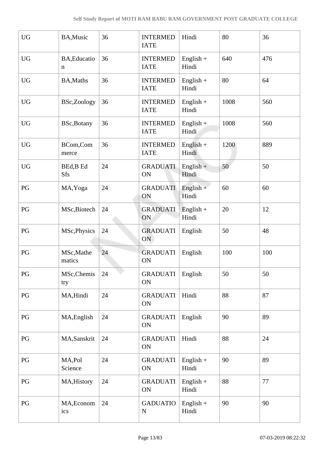| <b>UG</b>              | BA, Music               | 36 | <b>INTERMED</b><br><b>IATE</b> | Hindi                | 80   | 36  |
|------------------------|-------------------------|----|--------------------------------|----------------------|------|-----|
| <b>UG</b>              | BA, Educatio<br>n       | 36 | <b>INTERMED</b><br><b>IATE</b> | $English +$<br>Hindi | 640  | 476 |
| <b>UG</b>              | <b>BA, Maths</b>        | 36 | <b>INTERMED</b><br><b>IATE</b> | $English +$<br>Hindi | 80   | 64  |
| ${\rm U}{\rm G}$       | BSc,Zoology             | 36 | <b>INTERMED</b><br><b>IATE</b> | $English +$<br>Hindi | 1008 | 560 |
| <b>UG</b>              | <b>BSc, Botany</b>      | 36 | <b>INTERMED</b><br><b>IATE</b> | English $+$<br>Hindi | 1008 | 560 |
| <b>UG</b>              | BCom,Com<br>merce       | 36 | <b>INTERMED</b><br><b>IATE</b> | $English +$<br>Hindi | 1200 | 889 |
| $\mathbf{U}\mathbf{G}$ | BEd, B Ed<br><b>Sfs</b> | 24 | <b>GRADUATI</b><br>ON          | $English +$<br>Hindi | 50   | 50  |
| PG                     | MA, Yoga                | 24 | <b>GRADUATI</b><br>ON          | English $+$<br>Hindi | 60   | 60  |
| PG                     | MSc, Biotech            | 24 | <b>GRADUATI</b><br>ON          | English $+$<br>Hindi | 20   | 12  |
| PG                     | MSc, Physics            | 24 | <b>GRADUATI</b><br>ON          | English              | 50   | 48  |
| PG                     | MSc, Mathe<br>matics    | 24 | <b>GRADUATI</b><br>ON          | English              | 100  | 100 |
| PG                     | MSc, Chemis<br>try      | 24 | <b>GRADUATI</b><br>ON          | English              | 50   | 50  |
| PG                     | MA, Hindi               | 24 | <b>GRADUATI</b><br>ON          | Hindi                | 88   | 87  |
| $\mathbf{P}\mathbf{G}$ | MA, English             | 24 | <b>GRADUATI</b><br>ON          | English              | 90   | 89  |
| PG                     | MA, Sanskrit            | 24 | <b>GRADUATI</b><br>ON          | Hindi                | 88   | 24  |
| $\mathbf{P}\mathbf{G}$ | MA,Pol<br>Science       | 24 | <b>GRADUATI</b><br>ON          | $English +$<br>Hindi | 90   | 89  |
| $\mathbf{P}\mathbf{G}$ | MA, History             | 24 | <b>GRADUATI</b><br>ON          | $English +$<br>Hindi | 88   | 77  |
| PG                     | MA, Econom<br>ics       | 24 | <b>GADUATIO</b><br>N           | English $+$<br>Hindi | 90   | 90  |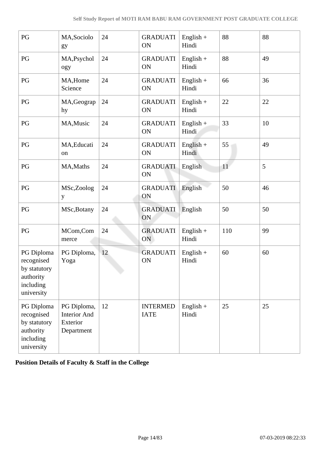| PG                                                                               | MA, Sociolo<br>gy                                            | 24 | <b>GRADUATI</b><br>ON          | English $+$<br>Hindi | 88  | 88 |
|----------------------------------------------------------------------------------|--------------------------------------------------------------|----|--------------------------------|----------------------|-----|----|
| PG                                                                               | MA, Psychol<br>ogy                                           | 24 | <b>GRADUATI</b><br>ON          | $English +$<br>Hindi | 88  | 49 |
| $\mathbf{P}\mathbf{G}$                                                           | MA, Home<br>Science                                          | 24 | <b>GRADUATI</b><br>ON          | $English +$<br>Hindi | 66  | 36 |
| PG                                                                               | MA, Geograp<br>hy                                            | 24 | <b>GRADUATI</b><br>ON          | $English +$<br>Hindi | 22  | 22 |
| PG                                                                               | MA, Music                                                    | 24 | <b>GRADUATI</b><br>ON          | English $+$<br>Hindi | 33  | 10 |
| $\mathbf{P}\mathbf{G}$                                                           | MA, Educati<br>on                                            | 24 | <b>GRADUATI</b><br>ON          | $English +$<br>Hindi | 55  | 49 |
| PG                                                                               | MA, Maths                                                    | 24 | <b>GRADUATI</b><br>ON          | English              | 11  | 5  |
| PG                                                                               | MSc,Zoolog<br>y                                              | 24 | <b>GRADUATI</b><br>ON          | English              | 50  | 46 |
| PG                                                                               | MSc, Botany                                                  | 24 | <b>GRADUATI</b><br>ON          | English              | 50  | 50 |
| PG                                                                               | MCom,Com<br>merce                                            | 24 | <b>GRADUATI</b><br>ON          | English +<br>Hindi   | 110 | 99 |
| PG Diploma<br>recognised<br>by statutory<br>authority<br>including<br>university | PG Diploma,<br>Yoga                                          | 12 | <b>GRADUATI</b><br>ON          | $English +$<br>Hindi | 60  | 60 |
| PG Diploma<br>recognised<br>by statutory<br>authority<br>including<br>university | PG Diploma,<br><b>Interior And</b><br>Exterior<br>Department | 12 | <b>INTERMED</b><br><b>IATE</b> | English $+$<br>Hindi | 25  | 25 |

**Position Details of Faculty & Staff in the College**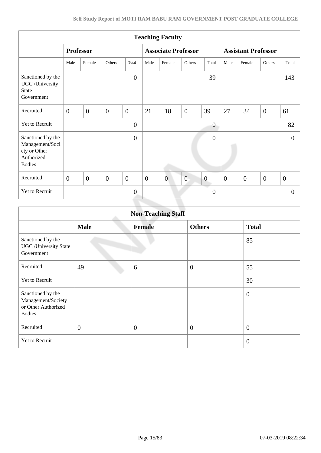| <b>Teaching Faculty</b>                                                             |                  |                  |                  |                  |                  |                            |                  |                         |                            |                  |                  |                  |
|-------------------------------------------------------------------------------------|------------------|------------------|------------------|------------------|------------------|----------------------------|------------------|-------------------------|----------------------------|------------------|------------------|------------------|
|                                                                                     |                  | <b>Professor</b> |                  |                  |                  | <b>Associate Professor</b> |                  |                         | <b>Assistant Professor</b> |                  |                  |                  |
|                                                                                     | Male             | Female           | Others           | Total            | Male             | Female                     | Others           | Total                   | Male                       | Female           | Others           | Total            |
| Sanctioned by the<br>UGC /University<br><b>State</b><br>Government                  |                  |                  |                  | $\boldsymbol{0}$ |                  |                            |                  | 39                      |                            |                  |                  | 143              |
| Recruited                                                                           | $\boldsymbol{0}$ | $\overline{0}$   | $\overline{0}$   | $\overline{0}$   | 21               | 18                         | $\overline{0}$   | 39                      | 27                         | 34               | $\overline{0}$   | 61               |
| Yet to Recruit                                                                      |                  |                  |                  | $\overline{0}$   |                  |                            |                  | $\boldsymbol{0}$        |                            |                  |                  | 82               |
| Sanctioned by the<br>Management/Soci<br>ety or Other<br>Authorized<br><b>Bodies</b> |                  |                  |                  | $\overline{0}$   |                  |                            |                  | $\overline{0}$          |                            |                  |                  | $\theta$         |
| Recruited                                                                           | $\overline{0}$   | $\boldsymbol{0}$ | $\boldsymbol{0}$ | $\boldsymbol{0}$ | $\boldsymbol{0}$ | $\overline{0}$             | $\boldsymbol{0}$ | $\boldsymbol{0}$        | $\boldsymbol{0}$           | $\boldsymbol{0}$ | $\boldsymbol{0}$ | $\boldsymbol{0}$ |
| Yet to Recruit                                                                      |                  |                  |                  | $\mathbf{0}$     |                  |                            |                  | a a<br>$\boldsymbol{0}$ |                            |                  |                  | $\theta$         |
|                                                                                     |                  |                  |                  |                  |                  |                            |                  |                         |                            |                  |                  |                  |

|                                                                                 | <b>Non-Teaching Staff</b> |                |                  |                |  |  |  |  |  |  |  |
|---------------------------------------------------------------------------------|---------------------------|----------------|------------------|----------------|--|--|--|--|--|--|--|
|                                                                                 | <b>Male</b>               | <b>Female</b>  | <b>Others</b>    | <b>Total</b>   |  |  |  |  |  |  |  |
| Sanctioned by the<br><b>UGC</b> / University State<br>Government                |                           |                |                  | 85             |  |  |  |  |  |  |  |
| Recruited                                                                       | 49                        | 6              | $\theta$         | 55             |  |  |  |  |  |  |  |
| Yet to Recruit                                                                  |                           |                |                  | 30             |  |  |  |  |  |  |  |
| Sanctioned by the<br>Management/Society<br>or Other Authorized<br><b>Bodies</b> |                           |                |                  | $\theta$       |  |  |  |  |  |  |  |
| Recruited                                                                       | $\overline{0}$            | $\overline{0}$ | $\boldsymbol{0}$ | $\overline{0}$ |  |  |  |  |  |  |  |
| Yet to Recruit                                                                  |                           |                |                  | $\overline{0}$ |  |  |  |  |  |  |  |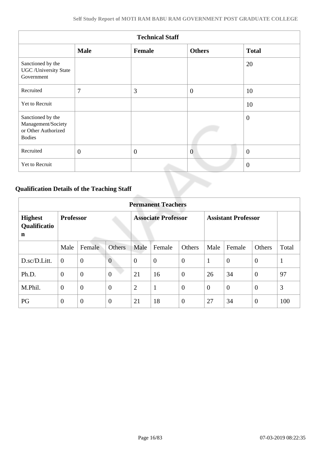| <b>Technical Staff</b>                                                          |                |                |                |                |  |  |  |  |  |  |
|---------------------------------------------------------------------------------|----------------|----------------|----------------|----------------|--|--|--|--|--|--|
|                                                                                 | <b>Male</b>    | <b>Female</b>  | <b>Others</b>  | <b>Total</b>   |  |  |  |  |  |  |
| Sanctioned by the<br><b>UGC</b> / University State<br>Government                |                |                |                | 20             |  |  |  |  |  |  |
| Recruited                                                                       | 7              | 3              | $\overline{0}$ | 10             |  |  |  |  |  |  |
| Yet to Recruit                                                                  |                |                |                | 10             |  |  |  |  |  |  |
| Sanctioned by the<br>Management/Society<br>or Other Authorized<br><b>Bodies</b> |                |                |                | $\theta$       |  |  |  |  |  |  |
| Recruited                                                                       | $\overline{0}$ | $\overline{0}$ | $\overline{0}$ | $\overline{0}$ |  |  |  |  |  |  |
| Yet to Recruit                                                                  |                |                |                | $\overline{0}$ |  |  |  |  |  |  |

# **Qualification Details of the Teaching Staff**

|                                     | <b>Permanent Teachers</b> |                |                |                            |                  |                |                            |              |                |              |  |
|-------------------------------------|---------------------------|----------------|----------------|----------------------------|------------------|----------------|----------------------------|--------------|----------------|--------------|--|
| <b>Highest</b><br>Qualificatio<br>n | <b>Professor</b>          |                |                | <b>Associate Professor</b> |                  |                | <b>Assistant Professor</b> |              |                |              |  |
|                                     | Male                      | Female         | <b>Others</b>  | Male                       | Female           | Others         | Male                       | Female       | Others         | Total        |  |
| D.sc/D.Litt.                        | $\mathbf{0}$              | $\mathbf{0}$   | $\overline{0}$ | $\theta$                   | $\boldsymbol{0}$ | $\overline{0}$ | 1                          | $\mathbf{0}$ | $\mathbf{0}$   | $\mathbf{1}$ |  |
| Ph.D.                               | $\overline{0}$            | $\mathbf{0}$   | $\overline{0}$ | 21                         | 16               | $\overline{0}$ | 26                         | 34           | $\theta$       | 97           |  |
| M.Phil.                             | $\theta$                  | $\mathbf{0}$   | $\overline{0}$ | $\overline{2}$             | $\mathbf{1}$     | $\overline{0}$ | $\overline{0}$             | $\theta$     | $\overline{0}$ | 3            |  |
| PG                                  | $\overline{0}$            | $\overline{0}$ | $\overline{0}$ | 21                         | 18               | $\overline{0}$ | 27                         | 34           | $\theta$       | 100          |  |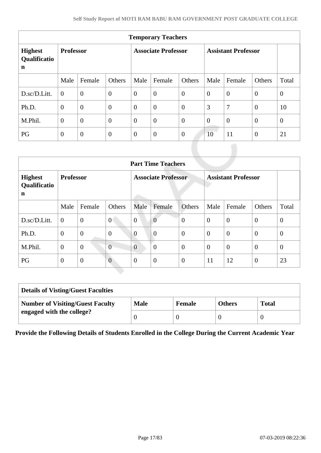| <b>Temporary Teachers</b>           |                  |                |                  |                            |                  |                |                            |                |                |                |  |  |
|-------------------------------------|------------------|----------------|------------------|----------------------------|------------------|----------------|----------------------------|----------------|----------------|----------------|--|--|
| <b>Highest</b><br>Qualificatio<br>n | <b>Professor</b> |                |                  | <b>Associate Professor</b> |                  |                | <b>Assistant Professor</b> |                |                |                |  |  |
|                                     | Male             | Female         | Others           | Male                       | Female           | Others         | Male                       | Female         | Others         | Total          |  |  |
| D.sc/D.Litt.                        | $\overline{0}$   | $\overline{0}$ | $\overline{0}$   | $\overline{0}$             | $\boldsymbol{0}$ | $\overline{0}$ | $\overline{0}$             | $\overline{0}$ | $\overline{0}$ | $\mathbf{0}$   |  |  |
| Ph.D.                               | $\overline{0}$   | $\overline{0}$ | $\overline{0}$   | $\overline{0}$             | $\overline{0}$   | $\overline{0}$ | 3                          | 7              | $\overline{0}$ | 10             |  |  |
| M.Phil.                             | $\overline{0}$   | $\overline{0}$ | $\overline{0}$   | $\overline{0}$             | $\overline{0}$   | $\overline{0}$ | $\overline{0}$             | $\overline{0}$ | $\theta$       | $\overline{0}$ |  |  |
| PG                                  | $\overline{0}$   | $\overline{0}$ | $\boldsymbol{0}$ | $\theta$                   | $\overline{0}$   | $\overline{0}$ | 10                         | 11             | $\theta$       | 21             |  |  |

|                                     | <b>Part Time Teachers</b> |                |                  |                            |                |                  |                            |                |                |              |  |  |
|-------------------------------------|---------------------------|----------------|------------------|----------------------------|----------------|------------------|----------------------------|----------------|----------------|--------------|--|--|
| <b>Highest</b><br>Qualificatio<br>n | <b>Professor</b>          |                |                  | <b>Associate Professor</b> |                |                  | <b>Assistant Professor</b> |                |                |              |  |  |
|                                     | Male                      | Female         | Others           | Male                       | Female         | Others           | Male                       | Female         | Others         | Total        |  |  |
| D.sc/D.Litt.                        | $\overline{0}$            | $\overline{0}$ | $\overline{0}$   | $\overline{0}$             | $\overline{0}$ | $\boldsymbol{0}$ | $\theta$                   | $\overline{0}$ | $\mathbf{0}$   | $\mathbf{0}$ |  |  |
| Ph.D.                               | $\mathbf{0}$              | $\overline{0}$ | $\boldsymbol{0}$ | $\overline{0}$             | $\overline{0}$ | $\mathbf{0}$     | $\overline{0}$             | $\overline{0}$ | $\overline{0}$ | $\theta$     |  |  |
| M.Phil.                             | $\theta$                  | $\overline{0}$ | $\overline{0}$   | $\overline{0}$             | $\overline{0}$ | $\mathbf{0}$     | $\theta$                   | $\overline{0}$ | $\mathbf{0}$   | $\theta$     |  |  |
| PG                                  | $\theta$                  | $\mathbf{0}$   | $\overline{0}$   | $\overline{0}$             | $\overline{0}$ | $\theta$         | 11                         | 12             | $\overline{0}$ | 23           |  |  |

| <b>Details of Visting/Guest Faculties</b> |             |               |               |              |  |  |  |  |
|-------------------------------------------|-------------|---------------|---------------|--------------|--|--|--|--|
| <b>Number of Visiting/Guest Faculty</b>   | <b>Male</b> | <b>Female</b> | <b>Others</b> | <b>Total</b> |  |  |  |  |
| engaged with the college?                 |             |               |               |              |  |  |  |  |

**Provide the Following Details of Students Enrolled in the College During the Current Academic Year**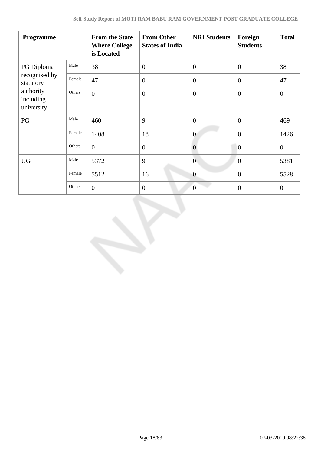| Programme                                                          |        | <b>From the State</b><br><b>Where College</b><br>is Located | <b>From Other</b><br><b>States of India</b> | <b>NRI Students</b> | Foreign<br><b>Students</b> | <b>Total</b>   |
|--------------------------------------------------------------------|--------|-------------------------------------------------------------|---------------------------------------------|---------------------|----------------------------|----------------|
| PG Diploma                                                         | Male   | 38                                                          | $\boldsymbol{0}$                            | $\overline{0}$      | $\overline{0}$             | 38             |
| recognised by<br>statutory<br>authority<br>including<br>university | Female | 47                                                          | $\mathbf{0}$                                | $\overline{0}$      | $\overline{0}$             | 47             |
|                                                                    | Others | $\boldsymbol{0}$                                            | $\mathbf{0}$                                | $\boldsymbol{0}$    | $\boldsymbol{0}$           | $\mathbf{0}$   |
| PG                                                                 | Male   | 460                                                         | 9                                           | $\overline{0}$      | $\overline{0}$             | 469            |
|                                                                    | Female | 1408                                                        | 18                                          | $\overline{0}$      | $\overline{0}$             | 1426           |
|                                                                    | Others | $\overline{0}$                                              | $\overline{0}$                              | $\overline{0}$      | $\overline{0}$             | $\overline{0}$ |
| <b>UG</b>                                                          | Male   | 5372                                                        | 9                                           | $\overline{0}$      | $\overline{0}$             | 5381           |
|                                                                    | Female | 5512                                                        | 16                                          | $\overline{0}$      | $\overline{0}$             | 5528           |
|                                                                    | Others | $\theta$                                                    | $\overline{0}$                              | $\overline{0}$      | $\overline{0}$             | $\mathbf{0}$   |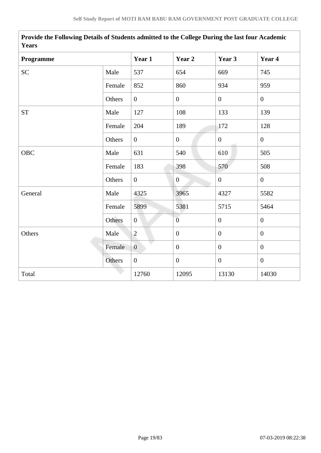| Years      |        |                |                  |                  |                |
|------------|--------|----------------|------------------|------------------|----------------|
| Programme  |        | Year 1         | Year 2           | Year 3           | Year 4         |
| <b>SC</b>  | Male   | 537            | 654              | 669              | 745            |
|            | Female | 852            | 860              | 934              | 959            |
|            | Others | $\overline{0}$ | $\boldsymbol{0}$ | $\mathbf{0}$     | $\overline{0}$ |
| <b>ST</b>  | Male   | 127            | 108              | 133              | 139            |
|            | Female | 204            | 189              | 172              | 128            |
|            | Others | $\overline{0}$ | $\mathbf{0}$     | $\overline{0}$   | $\mathbf{0}$   |
| <b>OBC</b> | Male   | 631            | 540              | 610              | 505            |
|            | Female | 183            | 398              | 570              | 508            |
|            | Others | $\overline{0}$ | $\overline{0}$   | $\mathbf{0}$     | $\overline{0}$ |
| General    | Male   | 4325           | 3965             | 4327             | 5582           |
|            | Female | 5899           | 5381             | 5715             | 5464           |
|            | Others | $\overline{0}$ | $\overline{0}$   | $\boldsymbol{0}$ | $\overline{0}$ |
| Others     | Male   | $\overline{2}$ | $\theta$         | $\boldsymbol{0}$ | $\overline{0}$ |
|            | Female | $\overline{0}$ | $\boldsymbol{0}$ | $\overline{0}$   | $\mathbf{0}$   |
|            | Others | $\overline{0}$ | $\boldsymbol{0}$ | $\mathbf{0}$     | $\overline{0}$ |
| Total      |        | 12760          | 12095            | 13130            | 14030          |

**Provide the Following Details of Students admitted to the College During the last four Academic**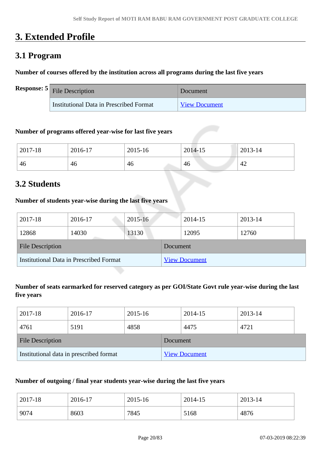# **3. Extended Profile**

# **3.1 Program**

#### **Number of courses offered by the institution across all programs during the last five years**

| <b>Response:</b> $5$ File Description   | Document             |
|-----------------------------------------|----------------------|
| Institutional Data in Prescribed Format | <b>View Document</b> |

#### **Number of programs offered year-wise for last five years**

| 2017-18 | 2016-17 | 2015-16 | 2014-15 | 2013-14 |
|---------|---------|---------|---------|---------|
| 46      | 46      | 46      | 46      | 42      |

# **3.2 Students**

#### **Number of students year-wise during the last five years**

| 2017-18                                 | 2016-17 | $2015 - 16$ |  | 2014-15              | 2013-14 |  |
|-----------------------------------------|---------|-------------|--|----------------------|---------|--|
| 12868                                   | 14030   | 13130       |  | 12095                | 12760   |  |
| <b>File Description</b>                 |         | Document    |  |                      |         |  |
| Institutional Data in Prescribed Format |         |             |  | <b>View Document</b> |         |  |

## **Number of seats earmarked for reserved category as per GOI/State Govt rule year-wise during the last five years**

| 2017-18                                 | 2016-17 | 2015-16  |                      | 2014-15 | 2013-14 |  |
|-----------------------------------------|---------|----------|----------------------|---------|---------|--|
| 4761                                    | 5191    | 4858     |                      | 4475    | 4721    |  |
| <b>File Description</b>                 |         | Document |                      |         |         |  |
| Institutional data in prescribed format |         |          | <b>View Document</b> |         |         |  |

#### **Number of outgoing / final year students year-wise during the last five years**

| 2017-18 | 2016-17 | 2015-16 | 2014-15 | 2013-14 |
|---------|---------|---------|---------|---------|
| 9074    | 8603    | 7845    | 5168    | 4876    |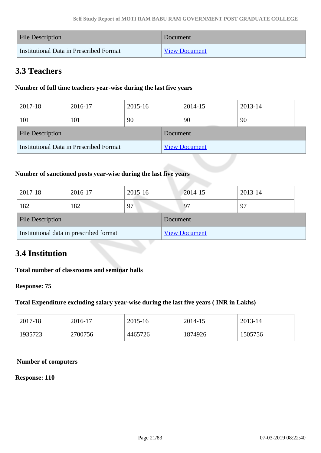| <b>File Description</b>                 | Document             |
|-----------------------------------------|----------------------|
| Institutional Data in Prescribed Format | <b>View Document</b> |

# **3.3 Teachers**

## **Number of full time teachers year-wise during the last five years**

| 2017-18                                 | 2016-17 | 2015-16 |          | 2014-15              | 2013-14 |  |
|-----------------------------------------|---------|---------|----------|----------------------|---------|--|
| 101                                     | 101     | 90      |          | 90                   | 90      |  |
| <b>File Description</b>                 |         |         | Document |                      |         |  |
| Institutional Data in Prescribed Format |         |         |          | <b>View Document</b> |         |  |

### **Number of sanctioned posts year-wise during the last five years**

| 2017-18                                 | 2016-17 | 2015-16 |          | $2014 - 15$          | 2013-14 |
|-----------------------------------------|---------|---------|----------|----------------------|---------|
| 182                                     | 182     | 97      |          | 97                   | 97      |
| <b>File Description</b>                 |         |         | Document |                      |         |
| Institutional data in prescribed format |         |         |          | <b>View Document</b> |         |

# **3.4 Institution**

#### **Total number of classrooms and seminar halls**

#### **Response: 75**

#### **Total Expenditure excluding salary year-wise during the last five years ( INR in Lakhs)**

| 2017-18 | 2016-17 | 2015-16 | 2014-15 | 2013-14 |
|---------|---------|---------|---------|---------|
| 1935723 | 2700756 | 4465726 | 1874926 | 1505756 |

#### **Number of computers**

#### **Response: 110**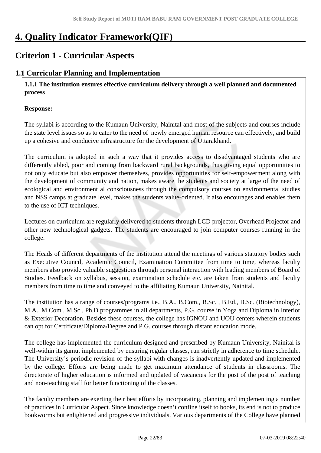# **4. Quality Indicator Framework(QIF)**

# **Criterion 1 - Curricular Aspects**

# **1.1 Curricular Planning and Implementation**

 **1.1.1 The institution ensures effective curriculum delivery through a well planned and documented process** 

### **Response:**

The syllabi is according to the Kumaun University, Nainital and most of the subjects and courses include the state level issues so as to cater to the need of newly emerged human resource can effectively, and build up a cohesive and conducive infrastructure for the development of Uttarakhand.

The curriculum is adopted in such a way that it provides access to disadvantaged students who are differently abled, poor and coming from backward rural backgrounds, thus giving equal opportunities to not only educate but also empower themselves, provides opportunities for self-empowerment along with the development of community and nation, makes aware the students and society at large of the need of ecological and environment al consciousness through the compulsory courses on environmental studies and NSS camps at graduate level, makes the students value-oriented. It also encourages and enables them to the use of ICT techniques.

Lectures on curriculum are regularly delivered to students through LCD projector, Overhead Projector and other new technological gadgets. The students are encouraged to join computer courses running in the college.

The Heads of different departments of the institution attend the meetings of various statutory bodies such as Executive Council, Academic Council, Examination Committee from time to time, whereas faculty members also provide valuable suggestions through personal interaction with leading members of Board of Studies. Feedback on syllabus, session, examination schedule etc. are taken from students and faculty members from time to time and conveyed to the affiliating Kumaun University, Nainital.

The institution has a range of courses/programs i.e., B.A., B.Com., B.Sc. , B.Ed., B.Sc. (Biotechnology), M.A., M.Com., M.Sc., Ph.D programmes in all departments, P.G. course in Yoga and Diploma in Interior & Exterior Decoration. Besides these courses, the college has IGNOU and UOU centers wherein students can opt for Certificate/Diploma/Degree and P.G. courses through distant education mode.

The college has implemented the curriculum designed and prescribed by Kumaun University, Nainital is well-within its gamut implemented by ensuring regular classes, run strictly in adherence to time schedule. The University's periodic revision of the syllabi with changes is inadvertently updated and implemented by the college. Efforts are being made to get maximum attendance of students in classrooms. The directorate of higher education is informed and updated of vacancies for the post of the post of teaching and non-teaching staff for better functioning of the classes.

The faculty members are exerting their best efforts by incorporating, planning and implementing a number of practices in Curricular Aspect. Since knowledge doesn't confine itself to books, its end is not to produce bookworms but enlightened and progressive individuals. Various departments of the College have planned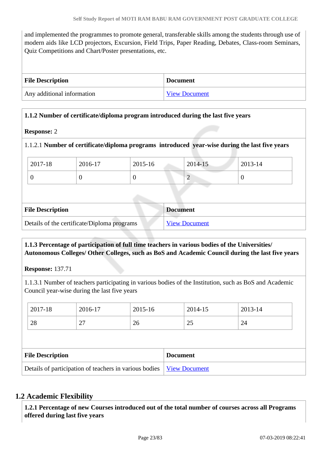and implemented the programmes to promote general, transferable skills among the students through use of modern aids like LCD projectors, Excursion, Field Trips, Paper Reading, Debates, Class-room Seminars, Quiz Competitions and Chart/Poster presentations, etc.

| <b>File Description</b>    | <b>Document</b>      |
|----------------------------|----------------------|
| Any additional information | <b>View Document</b> |

#### **1.1.2 Number of certificate/diploma program introduced during the last five years**

#### **Response:** 2

#### 1.1.2.1 **Number of certificate/diploma programs introduced year-wise during the last five years**

| 2017-18 | 2016-17 | 2015-16 | 2014-15                 | $2013 - 14$ |
|---------|---------|---------|-------------------------|-------------|
|         |         |         | <b>The Common State</b> |             |

| <b>File Description</b>                     | <b>Document</b>      |
|---------------------------------------------|----------------------|
| Details of the certificate/Diploma programs | <b>View Document</b> |

#### **1.1.3 Percentage of participation of full time teachers in various bodies of the Universities/ Autonomous Colleges/ Other Colleges, such as BoS and Academic Council during the last five years**

**Response:** 137.71

1.1.3.1 Number of teachers participating in various bodies of the Institution, such as BoS and Academic Council year-wise during the last five years

| 2017-18                 | 2016-17 | 2015-16 |                 | 2014-15 | 2013-14 |
|-------------------------|---------|---------|-----------------|---------|---------|
| 28                      | 27      | 26      |                 | 25      | 24      |
|                         |         |         |                 |         |         |
| <b>File Description</b> |         |         |                 |         |         |
|                         |         |         | <b>Document</b> |         |         |

#### **1.2 Academic Flexibility**

 **1.2.1 Percentage of new Courses introduced out of the total number of courses across all Programs offered during last five years**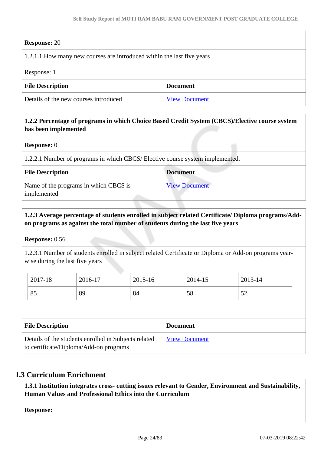### **Response:** 20

| 1.2.1.1 How many new courses are introduced within the last five years |  |  |  |  |
|------------------------------------------------------------------------|--|--|--|--|
| Response: 1                                                            |  |  |  |  |
| <b>File Description</b><br><b>Document</b>                             |  |  |  |  |
| Details of the new courses introduced<br><b>View Document</b>          |  |  |  |  |

## **1.2.2 Percentage of programs in which Choice Based Credit System (CBCS)/Elective course system has been implemented**

#### **Response:** 0

1.2.2.1 Number of programs in which CBCS/ Elective course system implemented.

| <b>File Description</b>                              | <b>Document</b>      |
|------------------------------------------------------|----------------------|
| Name of the programs in which CBCS is<br>implemented | <b>View Document</b> |

### **1.2.3 Average percentage of students enrolled in subject related Certificate/ Diploma programs/Addon programs as against the total number of students during the last five years**

**Response:** 0.56

1.2.3.1 Number of students enrolled in subject related Certificate or Diploma or Add-on programs yearwise during the last five years

| 2017-18 | 2016-17 | 2015-16 | 2014-15            | 2013-14                         |
|---------|---------|---------|--------------------|---------------------------------|
| 85      | 89      | 84      | $E_{\Omega}$<br>υo | $\sim$<br>$\tilde{\phantom{a}}$ |

| <b>File Description</b>                                                                        | <b>Document</b>      |
|------------------------------------------------------------------------------------------------|----------------------|
| Details of the students enrolled in Subjects related<br>to certificate/Diploma/Add-on programs | <b>View Document</b> |

## **1.3 Curriculum Enrichment**

 **1.3.1 Institution integrates cross- cutting issues relevant to Gender, Environment and Sustainability, Human Values and Professional Ethics into the Curriculum**

**Response:**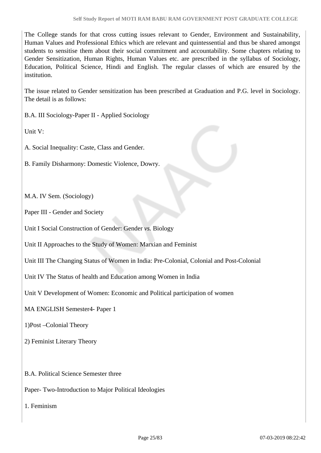The College stands for that cross cutting issues relevant to Gender, Environment and Sustainability, Human Values and Professional Ethics which are relevant and quintessential and thus be shared amongst students to sensitise them about their social commitment and accountability. Some chapters relating to Gender Sensitization, Human Rights, Human Values etc. are prescribed in the syllabus of Sociology, Education, Political Science, Hindi and English. The regular classes of which are ensured by the institution.

The issue related to Gender sensitization has been prescribed at Graduation and P.G. level in Sociology. The detail is as follows:

B.A. III Sociology-Paper II - Applied Sociology

Unit V:

A. Social Inequality: Caste, Class and Gender.

B. Family Disharmony: Domestic Violence, Dowry.

M.A. IV Sem. (Sociology)

Paper III - Gender and Society

Unit I Social Construction of Gender: Gender *vs.* Biology

Unit II Approaches to the Study of Women: Marxian and Feminist

Unit III The Changing Status of Women in India: Pre-Colonial, Colonial and Post-Colonial

Unit IV The Status of health and Education among Women in India

Unit V Development of Women: Economic and Political participation of women

MA ENGLISH Semester4- Paper 1

1)Post –Colonial Theory

2) Feminist Literary Theory

B.A. Political Science Semester three

Paper- Two-Introduction to Major Political Ideologies

1. Feminism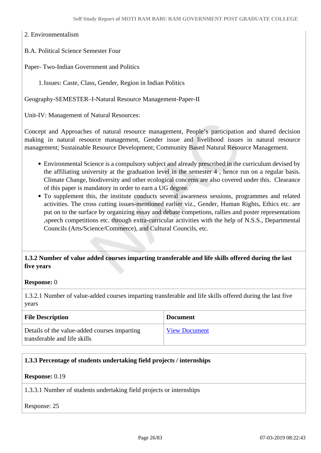2. Environmentalism

B.A. Political Science Semester Four

Paper- Two-Indian Government and Politics

1.Issues: Caste, Class, Gender, Region in Indian Politics

Geography-SEMESTER–I-Natural Resource Management-Paper-II

Unit-IV: Management of Natural Resources:

Concept and Approaches of natural resource management, People's participation and shared decision making in natural resource management, Gender issue and livelihood issues in natural resource management; Sustainable Resource Development; Community Based Natural Resource Management.

- Environmental Science is a compulsory subject and already prescribed in the curriculum devised by the affiliating university at the graduation level in the semester 4 , hence run on a regular basis. Climate Change, biodiversity and other ecological concerns are also covered under this. Clearance of this paper is mandatory in order to earn a UG degree.
- To supplement this, the institute conducts several awareness sessions, programmes and related activities. The cross cutting issues-mentioned earlier viz., Gender, Human Rights, Ethics etc. are put on to the surface by organizing essay and debate competions, rallies and poster representations ,speech competitions etc. through extra-curricular activities with the help of N.S.S., Departmental Councils (Arts/Science/Commerce), and Cultural Councils, etc.

#### **1.3.2 Number of value added courses imparting transferable and life skills offered during the last five years**

#### **Response:** 0

1.3.2.1 Number of value-added courses imparting transferable and life skills offered during the last five years

| <b>File Description</b>                                                      | <b>Document</b>      |
|------------------------------------------------------------------------------|----------------------|
| Details of the value-added courses imparting<br>transferable and life skills | <b>View Document</b> |

#### **1.3.3 Percentage of students undertaking field projects / internships**

#### **Response:** 0.19

1.3.3.1 Number of students undertaking field projects or internships

#### Response: 25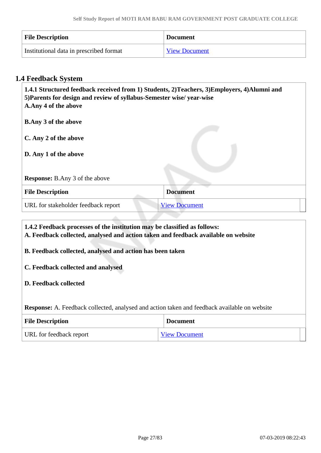| <b>File Description</b>                 | <b>Document</b>      |
|-----------------------------------------|----------------------|
| Institutional data in prescribed format | <b>View Document</b> |

## **1.4 Feedback System**

| 1.4.1 Structured feedback received from 1) Students, 2) Teachers, 3) Employers, 4) Alumni and<br>5) Parents for design and review of syllabus-Semester wise/ year-wise<br>A.Any 4 of the above |                      |  |
|------------------------------------------------------------------------------------------------------------------------------------------------------------------------------------------------|----------------------|--|
| <b>B.Any 3 of the above</b>                                                                                                                                                                    |                      |  |
| C. Any 2 of the above                                                                                                                                                                          |                      |  |
| D. Any 1 of the above                                                                                                                                                                          |                      |  |
|                                                                                                                                                                                                |                      |  |
| <b>Response:</b> B.Any 3 of the above                                                                                                                                                          |                      |  |
| <b>File Description</b>                                                                                                                                                                        | <b>Document</b>      |  |
| URL for stakeholder feedback report                                                                                                                                                            | <b>View Document</b> |  |
|                                                                                                                                                                                                |                      |  |

 **1.4.2 Feedback processes of the institution may be classified as follows: A. Feedback collected, analysed and action taken and feedback available on website B. Feedback collected, analysed and action has been taken C. Feedback collected and analysed D. Feedback collected Response:** A. Feedback collected, analysed and action taken and feedback available on website **File Description Document** 

URL for feedback report [View Document](www.mbgpgcollege.org)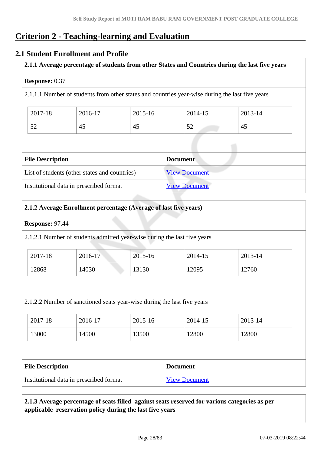# **Criterion 2 - Teaching-learning and Evaluation**

### **2.1 Student Enrollment and Profile**

**2.1.1 Average percentage of students from other States and Countries during the last five years**

#### **Response:** 0.37

2.1.1.1 Number of students from other states and countries year-wise during the last five years

| 2017-18       | 2016-17 | 2015-16 | 2014-15                         | 2013-14 |
|---------------|---------|---------|---------------------------------|---------|
| $\sim$<br>ے ر | 45      | 45      | $\overline{\phantom{a}}$<br>ے ر | 45      |

| <b>File Description</b>                       | <b>Document</b>      |
|-----------------------------------------------|----------------------|
| List of students (other states and countries) | <b>View Document</b> |
| Institutional data in prescribed format       | <b>View Document</b> |

#### **2.1.2 Average Enrollment percentage (Average of last five years)**

#### **Response:** 97.44

2.1.2.1 Number of students admitted year-wise during the last five years

| 2017-18 | 2016-17 | 2015-16 | 2014-15 | 2013-14 |
|---------|---------|---------|---------|---------|
| 12868   | 14030   | 13130   | 12095   | 12760   |

2.1.2.2 Number of sanctioned seats year-wise during the last five years

| 2017-18 | 2016-17 | 2015-16 | 2014-15 | 2013-14 |
|---------|---------|---------|---------|---------|
| 13000   | 14500   | 13500   | 12800   | 12800   |

| <b>File Description</b>                 | <b>Document</b>      |
|-----------------------------------------|----------------------|
| Institutional data in prescribed format | <b>View Document</b> |

### **2.1.3 Average percentage of seats filled against seats reserved for various categories as per applicable reservation policy during the last five years**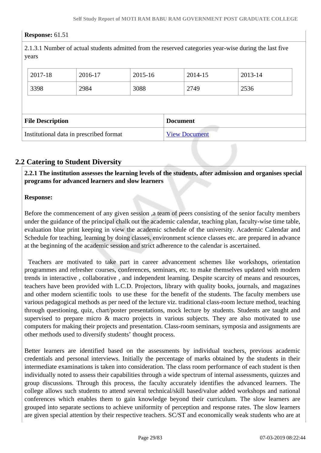#### **Response:** 61.51

2.1.3.1 Number of actual students admitted from the reserved categories year-wise during the last five years

| 2017-18                 | 2016-17 | 2015-16 | 2014-15         | 2013-14 |  |
|-------------------------|---------|---------|-----------------|---------|--|
| 3398                    | 2984    | 3088    | 2749            | 2536    |  |
|                         |         |         |                 |         |  |
| <b>File Description</b> |         |         |                 |         |  |
|                         |         |         | <b>Document</b> |         |  |

## **2.2 Catering to Student Diversity**

 **2.2.1 The institution assesses the learning levels of the students, after admission and organises special programs for advanced learners and slow learners**

#### **Response:**

Before the commencement of any given session ,a team of peers consisting of the senior faculty members under the guidance of the principal chalk out the academic calendar, teaching plan, faculty-wise time table, evaluation blue print keeping in view the academic schedule of the university. Academic Calendar and Schedule for teaching, learning by doing classes, environment science classes etc. are prepared in advance at the beginning of the academic session and strict adherence to the calendar is ascertained.

 Teachers are motivated to take part in career advancement schemes like workshops, orientation programmes and refresher courses, conferences, seminars, etc. to make themselves updated with modern trends in interactive , collaborative , and independent learning. Despite scarcity of means and resources, teachers have been provided with L.C.D. Projectors, library with quality books, journals, and magazines and other modern scientific tools to use these for the benefit of the students. The faculty members use various pedagogical methods as per need of the lecture viz. traditional class-room lecture method, teaching through questioning, quiz, chart/poster presentations, mock lecture by students. Students are taught and supervised to prepare micro & macro projects in various subjects. They are also motivated to use computers for making their projects and presentation. Class-room seminars, symposia and assignments are other methods used to diversify students' thought process.

Better learners are identified based on the assessments by individual teachers, previous academic credentials and personal interviews. Initially the percentage of marks obtained by the students in their intermediate examinations is taken into consideration. The class room performance of each student is then individually noted to assess their capabilities through a wide spectrum of internal assessments, quizzes and group discussions. Through this process, the faculty accurately identifies the advanced learners. The college allows such students to attend several technical/skill based/value added workshops and national conferences which enables them to gain knowledge beyond their curriculum. The slow learners are grouped into separate sections to achieve uniformity of perception and response rates. The slow learners are given special attention by their respective teachers. SC/ST and economically weak students who are at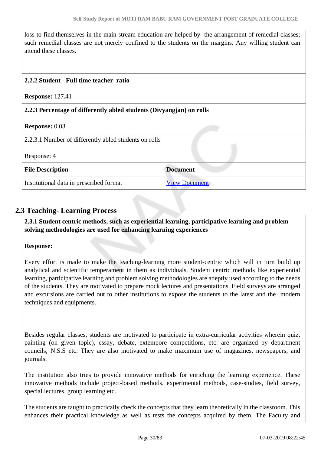loss to find themselves in the main stream education are helped by the arrangement of remedial classes; such remedial classes are not merely confined to the students on the margins. Any willing student can attend these classes.

#### **2.2.2 Student - Full time teacher ratio**

**Response:** 127.41

#### **2.2.3 Percentage of differently abled students (Divyangjan) on rolls**

#### **Response:** 0.03

| 2.2.3.1 Number of differently abled students on rolls |                      |  |
|-------------------------------------------------------|----------------------|--|
| Response: 4                                           |                      |  |
| <b>File Description</b>                               | <b>Document</b>      |  |
| Institutional data in prescribed format               | <b>View Document</b> |  |

## **2.3 Teaching- Learning Process**

 **2.3.1 Student centric methods, such as experiential learning, participative learning and problem solving methodologies are used for enhancing learning experiences**

#### **Response:**

Every effort is made to make the teaching-learning more student-centric which will in turn build up analytical and scientific temperament in them as individuals. Student centric methods like experiential learning, participative learning and problem solving methodologies are adeptly used according to the needs of the students. They are motivated to prepare mock lectures and presentations. Field surveys are arranged and excursions are carried out to other institutions to expose the students to the latest and the modern techniques and equipments.

Besides regular classes, students are motivated to participate in extra-curricular activities wherein quiz, painting (on given topic), essay, debate, extempore competitions, etc. are organized by department councils, N.S.S etc. They are also motivated to make maximum use of magazines, newspapers, and journals.

The institution also tries to provide innovative methods for enriching the learning experience. These innovative methods include project-based methods, experimental methods, case-studies, field survey, special lectures, group learning etc.

The students are taught to practically check the concepts that they learn theoretically in the classroom. This enhances their practical knowledge as well as tests the concepts acquired by them. The Faculty and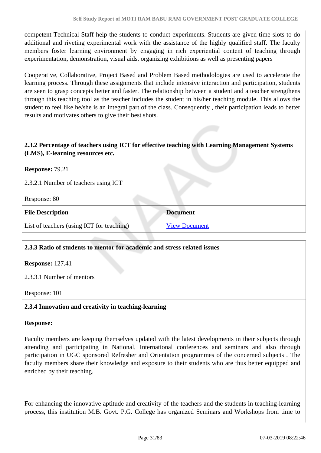competent Technical Staff help the students to conduct experiments. Students are given time slots to do additional and riveting experimental work with the assistance of the highly qualified staff. The faculty members foster learning environment by engaging in rich experiential content of teaching through experimentation, demonstration, visual aids, organizing exhibitions as well as presenting papers

Cooperative, Collaborative, Project Based and Problem Based methodologies are used to accelerate the learning process. Through these assignments that include intensive interaction and participation, students are seen to grasp concepts better and faster. The relationship between a student and a teacher strengthens through this teaching tool as the teacher includes the student in his/her teaching module. This allows the student to feel like he/she is an integral part of the class. Consequently , their participation leads to better results and motivates others to give their best shots.

#### **2.3.2 Percentage of teachers using ICT for effective teaching with Learning Management Systems (LMS), E-learning resources etc.**

**Response:** 79.21

2.3.2.1 Number of teachers using ICT

Response: 80

| <b>File Description</b>                   | <b>Document</b>      |
|-------------------------------------------|----------------------|
| List of teachers (using ICT for teaching) | <b>View Document</b> |

#### **2.3.3 Ratio of students to mentor for academic and stress related issues**

**Response:** 127.41

2.3.3.1 Number of mentors

Response: 101

#### **2.3.4 Innovation and creativity in teaching-learning**

#### **Response:**

Faculty members are keeping themselves updated with the latest developments in their subjects through attending and participating in National, International conferences and seminars and also through participation in UGC sponsored Refresher and Orientation programmes of the concerned subjects . The faculty members share their knowledge and exposure to their students who are thus better equipped and enriched by their teaching.

For enhancing the innovative aptitude and creativity of the teachers and the students in teaching-learning process, this institution M.B. Govt. P.G. College has organized Seminars and Workshops from time to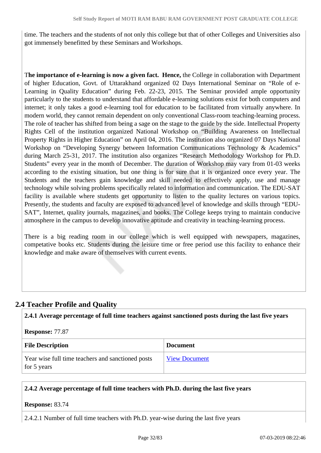time. The teachers and the students of not only this college but that of other Colleges and Universities also got immensely benefitted by these Seminars and Workshops.

T**he importance of e-learning is now a given fact. Hence,** the College in collaboration with Department of higher Education, Govt. of Uttarakhand organized 02 Days International Seminar on "Role of e-Learning in Quality Education" during Feb. 22-23, 2015. The Seminar provided ample opportunity particularly to the students to understand that affordable e-learning solutions exist for both computers and internet; it only takes a good e-learning tool for education to be facilitated from virtually anywhere. In modern world, they cannot remain dependent on only conventional Class-room teaching-learning process. The role of teacher has shifted from being a sage on the stage to the guide by the side. Intellectual Property Rights Cell of the institution organized National Workshop on "Building Awareness on Intellectual Property Rights in Higher Education" on April 04, 2016. The institution also organized 07 Days National Workshop on "Developing Synergy between Information Communications Technology & Academics" during March 25-31, 2017. The institution also organizes "Research Methodology Workshop for Ph.D. Students" every year in the month of December. The duration of Workshop may vary from 01-03 weeks according to the existing situation, but one thing is for sure that it is organized once every year. The Students and the teachers gain knowledge and skill needed to effectively apply, use and manage technology while solving problems specifically related to information and communication. The EDU-SAT facility is available where students get opportunity to listen to the quality lectures on various topics. Presently, the students and faculty are exposed to advanced level of knowledge and skills through "EDU-SAT", Internet, quality journals, magazines, and books. The College keeps trying to maintain conducive atmosphere in the campus to develop innovative aptitude and creativity in teaching-learning process.

There is a big reading room in our college which is well equipped with newspapers, magazines, competative books etc. Students during the leisure time or free period use this facility to enhance their knowledge and make aware of themselves with current events.

# **2.4 Teacher Profile and Quality**

**2.4.1 Average percentage of full time teachers against sanctioned posts during the last five years**

#### **Response:** 77.87

| <b>File Description</b>                                          | <b>Document</b>      |
|------------------------------------------------------------------|----------------------|
| Year wise full time teachers and sanctioned posts<br>for 5 years | <b>View Document</b> |

#### **2.4.2 Average percentage of full time teachers with Ph.D. during the last five years**

#### **Response:** 83.74

2.4.2.1 Number of full time teachers with Ph.D. year-wise during the last five years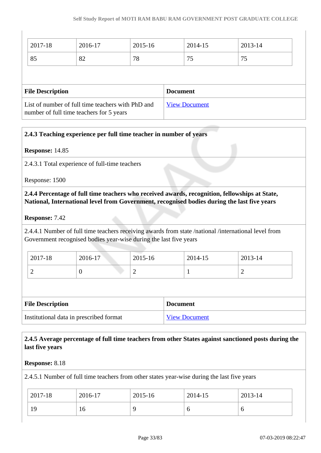| 2017-18                 | 2016-17 | 2015-16 | 2014-15         | 2013-14 |  |
|-------------------------|---------|---------|-----------------|---------|--|
| 85                      | 82      | 78      | 75              | 75      |  |
|                         |         |         |                 |         |  |
|                         |         |         |                 |         |  |
| <b>File Description</b> |         |         | <b>Document</b> |         |  |

## **2.4.3 Teaching experience per full time teacher in number of years**

#### **Response:** 14.85

2.4.3.1 Total experience of full-time teachers

Response: 1500

 **2.4.4 Percentage of full time teachers who received awards, recognition, fellowships at State, National, International level from Government, recognised bodies during the last five years**

#### **Response:** 7.42

2.4.4.1 Number of full time teachers receiving awards from state /national /international level from Government recognised bodies year-wise during the last five years

| 2017-18 | 2016-17 | 2015-16 | 2014-15 | 2013-14 |
|---------|---------|---------|---------|---------|
| ∼       | 0       | ∸       | . .     | -       |

| <b>File Description</b>                 | <b>Document</b>      |
|-----------------------------------------|----------------------|
| Institutional data in prescribed format | <b>View Document</b> |

### **2.4.5 Average percentage of full time teachers from other States against sanctioned posts during the last five years**

#### **Response:** 8.18

2.4.5.1 Number of full time teachers from other states year-wise during the last five years

| 2017-18 | 2016-17 | 2015-16 | 2014-15 | 2013-14 |
|---------|---------|---------|---------|---------|
| 19      | 10      |         | O       | O       |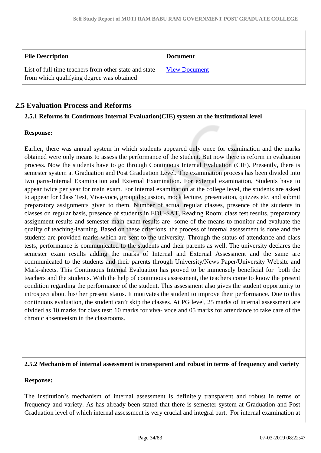| <b>File Description</b>                                                                            | <b>Document</b> |
|----------------------------------------------------------------------------------------------------|-----------------|
| List of full time teachers from other state and state<br>from which qualifying degree was obtained | View Document   |

# **2.5 Evaluation Process and Reforms**

#### **2.5.1 Reforms in Continuous Internal Evaluation(CIE) system at the institutional level**

#### **Response:**

Earlier, there was annual system in which students appeared only once for examination and the marks obtained were only means to assess the performance of the student. But now there is reform in evaluation process. Now the students have to go through Continuous Internal Evaluation (CIE). Presently, there is semester system at Graduation and Post Graduation Level. The examination process has been divided into two parts-Internal Examination and External Examination. For external examination, Students have to appear twice per year for main exam. For internal examination at the college level, the students are asked to appear for Class Test, Viva-voce, group discussion, mock lecture, presentation, quizzes etc. and submit preparatory assignments given to them. Number of actual regular classes, presence of the students in classes on regular basis, presence of students in EDU-SAT, Reading Room; class test results, preparatory assignment results and semester main exam results are some of the means to monitor and evaluate the quality of teaching-learning. Based on these criterions, the process of internal assessment is done and the students are provided marks which are sent to the university. Through the status of attendance and class tests, performance is communicated to the students and their parents as well. The university declares the semester exam results adding the marks of Internal and External Assessment and the same are communicated to the students and their parents through University/News Paper/University Website and Mark-sheets. This Continuous Internal Evaluation has proved to be immensely beneficial for both the teachers and the students. With the help of continuous assessment, the teachers come to know the present condition regarding the performance of the student. This assessment also gives the student opportunity to introspect about his/ her present status. It motivates the student to improve their performance. Due to this continuous evaluation, the student can't skip the classes. At PG level, 25 marks of internal assessment are divided as 10 marks for class test; 10 marks for viva- voce and 05 marks for attendance to take care of the chronic absenteeism in the classrooms.

#### **2.5.2 Mechanism of internal assessment is transparent and robust in terms of frequency and variety**

#### **Response:**

The institution's mechanism of internal assessment is definitely transparent and robust in terms of frequency and variety. As has already been stated that there is semester system at Graduation and Post Graduation level of which internal assessment is very crucial and integral part. For internal examination at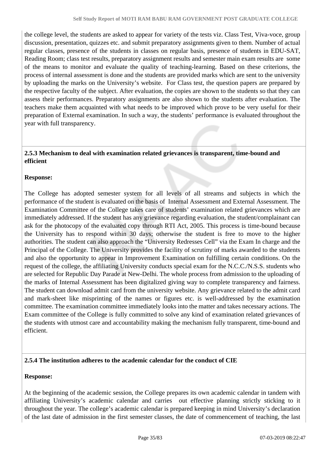the college level, the students are asked to appear for variety of the tests viz. Class Test, Viva-voce, group discussion, presentation, quizzes etc. and submit preparatory assignments given to them. Number of actual regular classes, presence of the students in classes on regular basis, presence of students in EDU-SAT, Reading Room; class test results, preparatory assignment results and semester main exam results are some of the means to monitor and evaluate the quality of teaching-learning. Based on these criterions, the process of internal assessment is done and the students are provided marks which are sent to the university by uploading the marks on the University's website. For Class test, the question papers are prepared by the respective faculty of the subject. After evaluation, the copies are shown to the students so that they can assess their performances. Preparatory assignments are also shown to the students after evaluation. The teachers make them acquainted with what needs to be improved which prove to be very useful for their preparation of External examination. In such a way, the students' performance is evaluated throughout the year with full transparency.

### **2.5.3 Mechanism to deal with examination related grievances is transparent, time-bound and efficient**

## **Response:**

The College has adopted semester system for all levels of all streams and subjects in which the performance of the student is evaluated on the basis of Internal Assessment and External Assessment. The Examination Committee of the College takes care of students' examination related grievances which are immediately addressed. If the student has any grievance regarding evaluation, the student/complainant can ask for the photocopy of the evaluated copy through RTI Act, 2005. This process is time-bound because the University has to respond within 30 days; otherwise the student is free to move to the higher authorities. The student can also approach the "University Redresses Cell" via the Exam In charge and the Principal of the College. The University provides the facility of scrutiny of marks awarded to the students and also the opportunity to appear in Improvement Examination on fulfilling certain conditions. On the request of the college, the affiliating University conducts special exam for the N.C.C./N.S.S. students who are selected for Republic Day Parade at New-Delhi. The whole process from admission to the uploading of the marks of Internal Assessment has been digitalized giving way to complete transparency and fairness. The student can download admit card from the university website. Any grievance related to the admit card and mark-sheet like misprinting of the names or figures etc. is well-addressed by the examination committee. The examination committee immediately looks into the matter and takes necessary actions. The Exam committee of the College is fully committed to solve any kind of examination related grievances of the students with utmost care and accountability making the mechanism fully transparent, time-bound and efficient.

## **2.5.4 The institution adheres to the academic calendar for the conduct of CIE**

## **Response:**

At the beginning of the academic session, the College prepares its own academic calendar in tandem with affiliating University's academic calendar and carries out effective planning strictly sticking to it throughout the year. The college's academic calendar is prepared keeping in mind University's declaration of the last date of admission in the first semester classes, the date of commencement of teaching, the last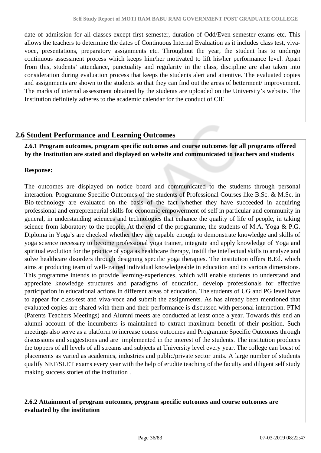date of admission for all classes except first semester, duration of Odd/Even semester exams etc. This allows the teachers to determine the dates of Continuous Internal Evaluation as it includes class test, vivavoce, presentations, preparatory assignments etc. Throughout the year, the student has to undergo continuous assessment process which keeps him/her motivated to lift his/her performance level. Apart from this, students' attendance, punctuality and regularity in the class, discipline are also taken into consideration during evaluation process that keeps the students alert and attentive. The evaluated copies and assignments are shown to the students so that they can find out the areas of betterment/ improvement. The marks of internal assessment obtained by the students are uploaded on the University's website. The Institution definitely adheres to the academic calendar for the conduct of CIE

## **2.6 Student Performance and Learning Outcomes**

 **2.6.1 Program outcomes, program specific outcomes and course outcomes for all programs offered by the Institution are stated and displayed on website and communicated to teachers and students**

#### **Response:**

The outcomes are displayed on notice board and communicated to the students through personal interaction. Programme Specific Outcomes of the students of Professional Courses like B.Sc. & M.Sc. in Bio-technology are evaluated on the basis of the fact whether they have succeeded in acquiring professional and entrepreneurial skills for economic empowerment of self in particular and community in general, in understanding sciences and technologies that enhance the quality of life of people, in taking science from laboratory to the people. At the end of the programme, the students of M.A. Yoga  $\&$  P.G. Diploma in Yoga's are checked whether they are capable enough to demonstrate knowledge and skills of yoga science necessary to become professional yoga trainer, integrate and apply knowledge of Yoga and spiritual evolution for the practice of yoga as healthcare therapy, instill the intellectual skills to analyze and solve healthcare disorders through designing specific yoga therapies. The institution offers B.Ed. which aims at producing team of well-trained individual knowledgeable in education and its various dimensions. This programme intends to provide learning-experiences, which will enable students to understand and appreciate knowledge structures and paradigms of education, develop professionals for effective participation in educational actions in different areas of education. The students of UG and PG level have to appear for class-test and viva-voce and submit the assignments. As has already been mentioned that evaluated copies are shared with them and their performance is discussed with personal interaction. PTM (Parents Teachers Meetings) and Alumni meets are conducted at least once a year. Towards this end an alumni account of the incumbents is maintained to extract maximum benefit of their position. Such meetings also serve as a platform to increase course outcomes and Programme Specific Outcomes through discussions and suggestions and are implemented in the interest of the students. The institution produces the toppers of all levels of all streams and subjects at University level every year. The college can boast of placements as varied as academics, industries and public/private sector units. A large number of students qualify NET/SLET exams every year with the help of erudite teaching of the faculty and diligent self study making success stories of the institution .

 **2.6.2 Attainment of program outcomes, program specific outcomes and course outcomes are evaluated by the institution**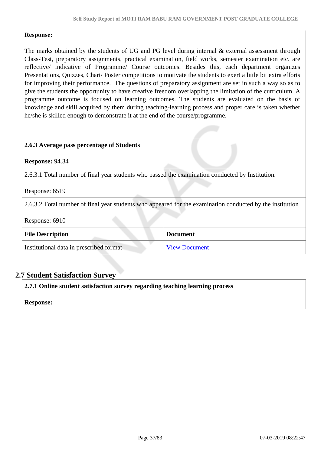### **Response:**

The marks obtained by the students of UG and PG level during internal & external assessment through Class-Test, preparatory assignments, practical examination, field works, semester examination etc. are reflective/ indicative of Programme/ Course outcomes. Besides this, each department organizes Presentations, Quizzes, Chart/ Poster competitions to motivate the students to exert a little bit extra efforts for improving their performance. The questions of preparatory assignment are set in such a way so as to give the students the opportunity to have creative freedom overlapping the limitation of the curriculum. A programme outcome is focused on learning outcomes. The students are evaluated on the basis of knowledge and skill acquired by them during teaching-learning process and proper care is taken whether he/she is skilled enough to demonstrate it at the end of the course/programme.

#### **2.6.3 Average pass percentage of Students**

**Response:** 94.34

2.6.3.1 Total number of final year students who passed the examination conducted by Institution.

Response: 6519

2.6.3.2 Total number of final year students who appeared for the examination conducted by the institution

Response: 6910

| <b>File Description</b>                 | <b>Document</b>      |
|-----------------------------------------|----------------------|
| Institutional data in prescribed format | <b>View Document</b> |

### **2.7 Student Satisfaction Survey**

**2.7.1 Online student satisfaction survey regarding teaching learning process**

**Response:**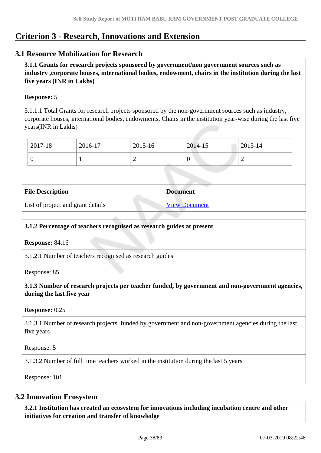# **Criterion 3 - Research, Innovations and Extension**

# **3.1 Resource Mobilization for Research**

 **3.1.1 Grants for research projects sponsored by government/non government sources such as industry ,corporate houses, international bodies, endowment, chairs in the institution during the last five years (INR in Lakhs)** 

### **Response:** 5

3.1.1.1 Total Grants for research projects sponsored by the non-government sources such as industry, corporate houses, international bodies, endowments, Chairs in the institution year-wise during the last five years(INR in Lakhs)

| 2017-18 | 2016-17 | 2015-16 | 2014-15 | 2013-14 |
|---------|---------|---------|---------|---------|
|         |         | ∼       | v       | -       |

| <b>File Description</b>           | <b>Document</b>      |
|-----------------------------------|----------------------|
| List of project and grant details | <b>View Document</b> |

### **3.1.2 Percentage of teachers recognised as research guides at present**

**Response:** 84.16

3.1.2.1 Number of teachers recognised as research guides

Response: 85

 **3.1.3 Number of research projects per teacher funded, by government and non-government agencies, during the last five year**

#### **Response:** 0.25

3.1.3.1 Number of research projects funded by government and non-government agencies during the last five years

Response: 5

3.1.3.2 Number of full time teachers worked in the institution during the last 5 years

Response: 101

### **3.2 Innovation Ecosystem**

 **3.2.1 Institution has created an ecosystem for innovations including incubation centre and other initiatives for creation and transfer of knowledge**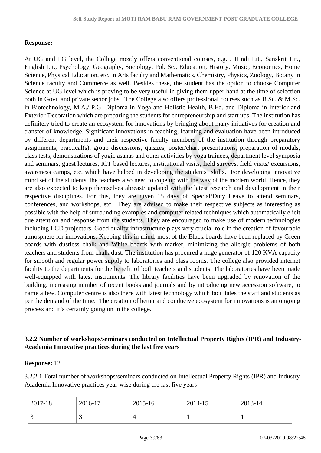# **Response:**

At UG and PG level, the College mostly offers conventional courses, e.g. , Hindi Lit., Sanskrit Lit., English Lit., Psychology, Geography, Sociology, Pol. Sc., Education, History, Music, Economics, Home Science, Physical Education, etc. in Arts faculty and Mathematics, Chemistry, Physics, Zoology, Botany in Science faculty and Commerce as well. Besides these, the student has the option to choose Computer Science at UG level which is proving to be very useful in giving them upper hand at the time of selection both in Govt. and private sector jobs. The College also offers professional courses such as B.Sc. & M.Sc. in Biotechnology, M.A./ P.G. Diploma in Yoga and Holistic Health, B.Ed. and Diploma in Interior and Exterior Decoration which are preparing the students for entrepreneurship and start ups. The institution has definitely tried to create an ecosystem for innovations by bringing about many initiatives for creation and transfer of knowledge. Significant innovations in teaching, learning and evaluation have been introduced by different departments and their respective faculty members of the institution through preparatory assignments, practical(s), group discussions, quizzes, poster/chart presentations, preparation of modals, class tests, demonstrations of yogic asanas and other activities by yoga trainees, department level symposia and seminars, guest lectures, ICT based lectures, institutional visits, field surveys, field visits/ excursions, awareness camps, etc. which have helped in developing the students' skills. For developing innovative mind set of the students, the teachers also need to cope up with the way of the modern world. Hence, they are also expected to keep themselves abreast/ updated with the latest research and development in their respective disciplines. For this, they are given 15 days of Special/Duty Leave to attend seminars, conferences, and workshops, etc. They are advised to make their respective subjects as interesting as possible with the help of surrounding examples and computer related techniques which automatically elicit due attention and response from the students. They are encouraged to make use of modern technologies including LCD projectors. Good quality infrastructure plays very crucial role in the creation of favourable atmosphere for innovations. Keeping this in mind, most of the Black boards have been replaced by Green boards with dustless chalk and White boards with marker, minimizing the allergic problems of both teachers and students from chalk dust. The institution has procured a huge generator of 120 KVA capacity for smooth and regular power supply to laboratories and class rooms. The college also provided internet facility to the departments for the benefit of both teachers and students. The laboratories have been made well-equipped with latest instruments. The library facilities have been upgraded by renovation of the building, increasing number of recent books and journals and by introducing new accession software, to name a few. Computer centre is also there with latest technology which facilitates the staff and students as per the demand of the time. The creation of better and conducive ecosystem for innovations is an ongoing process and it's certainly going on in the college.

# **3.2.2 Number of workshops/seminars conducted on Intellectual Property Rights (IPR) and Industry-Academia Innovative practices during the last five years**

### **Response:** 12

3.2.2.1 Total number of workshops/seminars conducted on Intellectual Property Rights (IPR) and Industry-Academia Innovative practices year-wise during the last five years

| 2017-18  | 2016-17 | 2015-16 | 2014-15 | 2013-14 |
|----------|---------|---------|---------|---------|
| <u>ب</u> |         |         |         |         |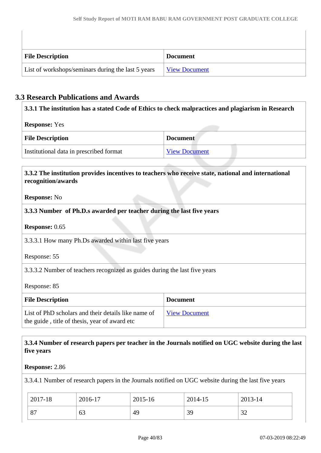| <b>File Description</b>                            | <b>Document</b>      |
|----------------------------------------------------|----------------------|
| List of workshops/seminars during the last 5 years | <u>View Document</u> |

# **3.3 Research Publications and Awards**

| <b>Response:</b> Yes                                                                                                                             |                      |
|--------------------------------------------------------------------------------------------------------------------------------------------------|----------------------|
| <b>File Description</b>                                                                                                                          | <b>Document</b>      |
| Institutional data in prescribed format                                                                                                          | <b>View Document</b> |
|                                                                                                                                                  |                      |
|                                                                                                                                                  |                      |
|                                                                                                                                                  |                      |
| 3.3.2 The institution provides incentives to teachers who receive state, national and international<br>recognition/awards<br><b>Response:</b> No |                      |

3.3.3.1 How many Ph.Ds awarded within last five years

Response: 55

3.3.3.2 Number of teachers recognized as guides during the last five years

Response: 85

| <b>File Description</b>                                                                              | <b>Document</b>      |
|------------------------------------------------------------------------------------------------------|----------------------|
| List of PhD scholars and their details like name of<br>the guide, title of thesis, year of award etc | <b>View Document</b> |

 **3.3.4 Number of research papers per teacher in the Journals notified on UGC website during the last five years**

**Response:** 2.86

3.3.4.1 Number of research papers in the Journals notified on UGC website during the last five years

| 2017-18 | 2016-17 | 2015-16 | 2014-15 | 2013-14            |
|---------|---------|---------|---------|--------------------|
| 87      | 63      | 49      | 39      | $2^{\circ}$<br>ے ر |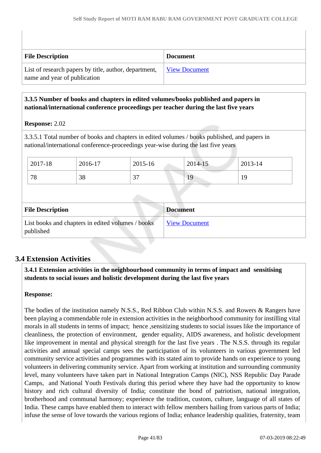| <b>File Description</b>                                                               | <b>Document</b>      |
|---------------------------------------------------------------------------------------|----------------------|
| List of research papers by title, author, department,<br>name and year of publication | <b>View Document</b> |

# **3.3.5 Number of books and chapters in edited volumes/books published and papers in national/international conference proceedings per teacher during the last five years**

# **Response:** 2.02

3.3.5.1 Total number of books and chapters in edited volumes / books published, and papers in national/international conference-proceedings year-wise during the last five years

| 2017-18 | 2016-17 | 2015-16     | 2014-15 | 2013-14 |
|---------|---------|-------------|---------|---------|
| 78      | 38      | $\sim$<br>ັ | 19      | 19      |

| <b>File Description</b>                                        | <b>Document</b>      |
|----------------------------------------------------------------|----------------------|
| List books and chapters in edited volumes / books<br>published | <b>View Document</b> |

# **3.4 Extension Activities**

 **3.4.1 Extension activities in the neighbourhood community in terms of impact and sensitising students to social issues and holistic development during the last five years**

### **Response:**

The bodies of the institution namely N.S.S., Red Ribbon Club within N.S.S. and Rowers & Rangers have been playing a commendable role in extension activities in the neighborhood community for instilling vital morals in all students in terms of impact; hence ,sensitizing students to social issues like the importance of cleanliness, the protection of environment, gender equality, AIDS awareness, and holistic development like improvement in mental and physical strength for the last five years. The N.S.S. through its regular activities and annual special camps sees the participation of its volunteers in various government led community service activities and programmes with its stated aim to provide hands on experience to young volunteers in delivering community service. Apart from working at institution and surrounding community level, many volunteers have taken part in National Integration Camps (NIC), NSS Republic Day Parade Camps, and National Youth Festivals during this period where they have had the opportunity to know history and rich cultural diversity of India; constitute the bond of patriotism, national integration, brotherhood and communal harmony; experience the tradition, custom, culture, language of all states of India. These camps have enabled them to interact with fellow members hailing from various parts of India; infuse the sense of love towards the various regions of India; enhance leadership qualities, fraternity, team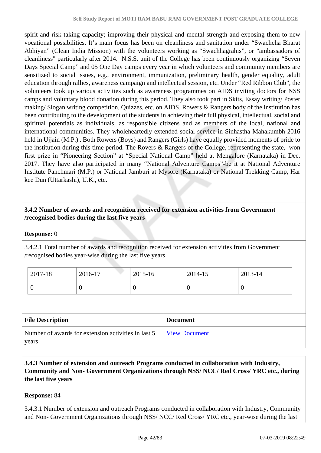spirit and risk taking capacity; improving their physical and mental strength and exposing them to new vocational possibilities. It's main focus has been on cleanliness and sanitation under "Swachcha Bharat Abhiyan" (Clean India Mission) with the volunteers working as "Swachhagrahis", or "ambassadors of cleanliness" particularly after 2014. N.S.S. unit of the College has been continuously organizing "Seven Days Special Camp" and 05 One Day camps every year in which volunteers and community members are sensitized to social issues, e.g., environment, immunization, preliminary health, gender equality, adult education through rallies, awareness campaign and intellectual session, etc. Under "Red Ribbon Club", the volunteers took up various activities such as awareness programmes on AIDS inviting doctors for NSS camps and voluntary blood donation during this period. They also took part in Skits, Essay writing/ Poster making/ Slogan writing competition, Quizzes, etc. on AIDS. Rowers & Rangers body of the institution has been contributing to the development of the students in achieving their full physical, intellectual, social and spiritual potentials as individuals, as responsible citizens and as members of the local, national and international communities. They wholeheartedly extended social service in Sinhastha Mahakumbh-2016 held in Ujjain (M.P.) . Both Rowers (Boys) and Rangers (Girls) have equally provided moments of pride to the institution during this time period. The Rovers & Rangers of the College, representing the state, won first prize in "Pioneering Section" at "Special National Camp" held at Mengalore (Karnataka) in Dec. 2017. They have also participated in many "National Adventure Camps"-be it at National Adventure Institute Panchmari (M.P.) or National Jamburi at Mysore (Karnataka) or National Trekking Camp, Har kee Dun (Uttarkashi), U.K., etc.

# **3.4.2 Number of awards and recognition received for extension activities from Government /recognised bodies during the last five years**

# **Response:** 0

3.4.2.1 Total number of awards and recognition received for extension activities from Government /recognised bodies year-wise during the last five years

| $2017-18$ | 2016-17 | 2015-16 | 2014-15 | 2013-14 |
|-----------|---------|---------|---------|---------|
|           |         |         | ◡       |         |

| <b>File Description</b>                                      | <b>Document</b>      |
|--------------------------------------------------------------|----------------------|
| Number of awards for extension activities in last 5<br>years | <b>View Document</b> |

 **3.4.3 Number of extension and outreach Programs conducted in collaboration with Industry, Community and Non- Government Organizations through NSS/ NCC/ Red Cross/ YRC etc., during the last five years** 

**Response:** 84

3.4.3.1 Number of extension and outreach Programs conducted in collaboration with Industry, Community and Non- Government Organizations through NSS/ NCC/ Red Cross/ YRC etc., year-wise during the last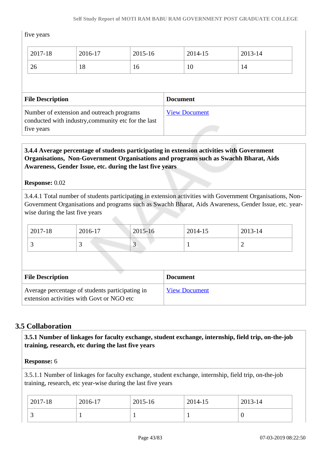### five years

| 2017-18                 | 2016-17 | 2015-16 | 2014-15         | 2013-14 |  |
|-------------------------|---------|---------|-----------------|---------|--|
| 26                      | 18      | 16      | 10              | 14      |  |
|                         |         |         |                 |         |  |
|                         |         |         |                 |         |  |
| <b>File Description</b> |         |         | <b>Document</b> |         |  |

# five years

# **3.4.4 Average percentage of students participating in extension activities with Government Organisations, Non-Government Organisations and programs such as Swachh Bharat, Aids Awareness, Gender Issue, etc. during the last five years**

### **Response:** 0.02

3.4.4.1 Total number of students participating in extension activities with Government Organisations, Non-Government Organisations and programs such as Swachh Bharat, Aids Awareness, Gender Issue, etc. yearwise during the last five years

| 2017-18 | 2016-17 | 2015-16                  | 2014-15 | 2013-14 |
|---------|---------|--------------------------|---------|---------|
|         | ້       | $\overline{\phantom{a}}$ |         | ∼       |

| <b>File Description</b>                                                                      | <b>Document</b>      |
|----------------------------------------------------------------------------------------------|----------------------|
| Average percentage of students participating in<br>extension activities with Govt or NGO etc | <b>View Document</b> |

# **3.5 Collaboration**

 **3.5.1 Number of linkages for faculty exchange, student exchange, internship, field trip, on-the-job training, research, etc during the last five years**

### **Response:** 6

3.5.1.1 Number of linkages for faculty exchange, student exchange, internship, field trip, on-the-job training, research, etc year-wise during the last five years

| 2017-18  | 2016-17 | $2015 - 16$ | 2014-15 | 2013-14 |
|----------|---------|-------------|---------|---------|
| <b>~</b> |         |             |         | ◡       |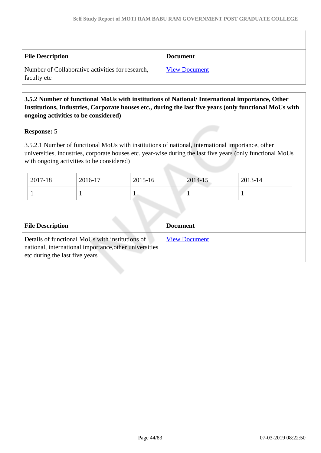| <b>File Description</b>                                         | <b>Document</b>      |
|-----------------------------------------------------------------|----------------------|
| Number of Collaborative activities for research,<br>faculty etc | <b>View Document</b> |

# **3.5.2 Number of functional MoUs with institutions of National/ International importance, Other Institutions, Industries, Corporate houses etc., during the last five years (only functional MoUs with ongoing activities to be considered)**

### **Response:** 5

3.5.2.1 Number of functional MoUs with institutions of national, international importance, other universities, industries, corporate houses etc. year-wise during the last five years (only functional MoUs with ongoing activities to be considered)

| 2017-18 | 2016-17 | 2015-16 | 2014-15 | 2013-14 |  |
|---------|---------|---------|---------|---------|--|
|         |         |         |         |         |  |
|         |         |         |         |         |  |

| <b>Document</b>      |
|----------------------|
| <b>View Document</b> |
|                      |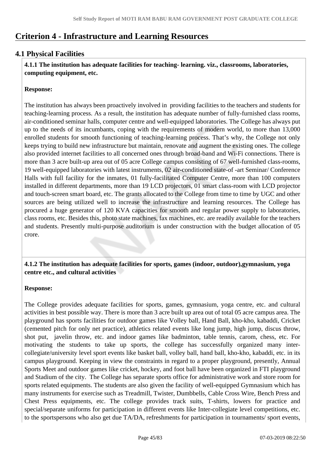# **Criterion 4 - Infrastructure and Learning Resources**

# **4.1 Physical Facilities**

 **4.1.1 The institution has adequate facilities for teaching- learning. viz., classrooms, laboratories, computing equipment, etc.**

# **Response:**

The institution has always been proactively involved in providing facilities to the teachers and students for teaching-learning process. As a result, the institution has adequate number of fully-furnished class rooms, air-conditioned seminar halls, computer centre and well-equipped laboratories. The College has always put up to the needs of its incumbants, coping with the requirements of modern world, to more than 13,000 enrolled students for smooth functioning of teaching-learning process. That's why, the College not only keeps trying to build new infrastructure but maintain, renovate and augment the existing ones. The college also provided internet facilities to all concerned ones through broad-band and Wi-Fi connections. There is more than 3 acre built-up area out of 05 acre College campus consisting of 67 well-furnished class-rooms, 19 well-equipped laboratories with latest instruments, 02 air-conditioned state-of -art Seminar/ Conference Halls with full facility for the inmates, 01 fully-facilitated Computer Centre, more than 100 computers installed in different departments, more than 19 LCD projectors, 01 smart class-room with LCD projector and touch-screen smart board, etc. The grants allocated to the College from time to time by UGC and other sources are being utilized well to increase the infrastructure and learning resources. The College has procured a huge generator of 120 KVA capacities for smooth and regular power supply to laboratories, class rooms, etc. Besides this, photo state machines, fax machines, etc. are readily available for the teachers and students. Presently multi-purpose auditorium is under construction with the budget allocation of 05 crore.

# **4.1.2 The institution has adequate facilities for sports, games (indoor, outdoor),gymnasium, yoga centre etc., and cultural activities**

### **Response:**

The College provides adequate facilities for sports, games, gymnasium, yoga centre, etc. and cultural activities in best possible way. There is more than 3 acre built up area out of total 05 acre campus area. The playground has sports facilities for outdoor games like Volley ball, Hand Ball, kho-kho, kabaddi, Cricket (cemented pitch for only net practice), athletics related events like long jump, high jump, discus throw, shot put, javelin throw, etc. and indoor games like badminton, table tennis, carom, chess, etc. For motivating the students to take up sports, the college has successfully organized many intercollegiate/university level sport events like basket ball, volley ball, hand ball, kho-kho, kabaddi, etc. in its campus playground. Keeping in view the constraints in regard to a proper playground, presently, Annual Sports Meet and outdoor games like cricket, hockey, and foot ball have been organized in FTI playground and Stadium of the city. The College has separate sports office for administrative work and store room for sports related equipments. The students are also given the facility of well-equipped Gymnasium which has many instruments for exercise such as Treadmill, Twister, Dumbbells, Cable Cross Wire, Bench Press and Chest Press equipments, etc. The college provides track suits, T-shirts, lowers for practice and special/separate uniforms for participation in different events like Inter-collegiate level competitions, etc. to the sportspersons who also get due TA/DA, refreshments for participation in tournaments/ sport events,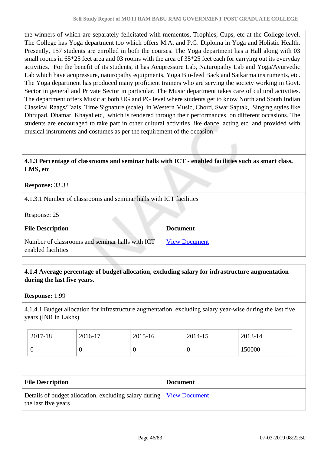the winners of which are separately felicitated with mementos, Trophies, Cups, etc at the College level. The College has Yoga department too which offers M.A. and P.G. Diploma in Yoga and Holistic Health. Presently, 157 students are enrolled in both the courses. The Yoga department has a Hall along with 03 small rooms in 65<sup>\*</sup>25 feet area and 03 rooms with the area of 35<sup>\*</sup>25 feet each for carrying out its everyday activities. For the benefit of its students, it has Acupressure Lab, Naturopathy Lab and Yoga/Ayurvedic Lab which have acupressure, naturopathy equipments, Yoga Bio-feed Back and Satkarma instruments, etc. The Yoga department has produced many proficient trainers who are serving the society working in Govt. Sector in general and Private Sector in particular. The Music department takes care of cultural activities. The department offers Music at both UG and PG level where students get to know North and South Indian Classical Raags/Taals, Time Signature (scale) in Western Music, Chord, Swar Saptak, Singing styles like Dhrupad, Dhamar, Khayal etc, which is rendered through their performances on different occasions. The students are encouraged to take part in other cultural activities like dance, acting etc. and provided with musical instruments and costumes as per the requirement of the occasion.

# **4.1.3 Percentage of classrooms and seminar halls with ICT - enabled facilities such as smart class, LMS, etc**

#### **Response:** 33.33

4.1.3.1 Number of classrooms and seminar halls with ICT facilities

Response: 25

| <b>File Description</b>                                               | <b>Document</b>      |
|-----------------------------------------------------------------------|----------------------|
| Number of classrooms and seminar halls with ICT<br>enabled facilities | <b>View Document</b> |

### **4.1.4 Average percentage of budget allocation, excluding salary for infrastructure augmentation during the last five years.**

**Response:** 1.99

4.1.4.1 Budget allocation for infrastructure augmentation, excluding salary year-wise during the last five years (INR in Lakhs)

| 2017-18 | 2016-17 | 2015-16 | 2014-15 | 2013-14 |
|---------|---------|---------|---------|---------|
|         |         |         |         | 50000   |

| <b>File Description</b>                                                                      | <b>Document</b> |
|----------------------------------------------------------------------------------------------|-----------------|
| Details of budget allocation, excluding salary during   View Document<br>the last five years |                 |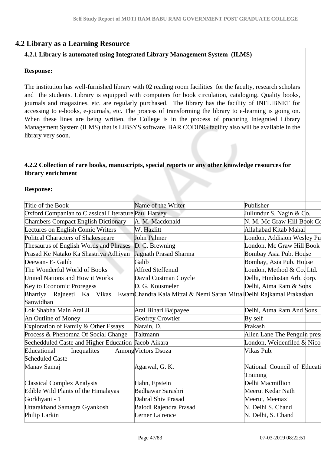# **4.2 Library as a Learning Resource**

# **4.2.1 Library is automated using Integrated Library Management System (ILMS)**

# **Response:**

The institution has well-furnished library with 02 reading room facilities for the faculty, research scholars and the students. Library is equipped with computers for book circulation, cataloging. Quality books, journals and magazines, etc. are regularly purchased. The library has the facility of INFLIBNET for accessing to e-books, e-journals, etc. The process of transforming the library to e-learning is going on. When these lines are being written, the College is in the process of procuring Integrated Library Management System (ILMS) that is LIBSYS software. BAR CODING facility also will be available in the library very soon.

### **4.2.2 Collection of rare books, manuscripts, special reports or any other knowledge resources for library enrichment**

### **Response:**

| Title of the Book                                    | Name of the Writer                                                                             | Publisher                            |  |
|------------------------------------------------------|------------------------------------------------------------------------------------------------|--------------------------------------|--|
| Oxford Companian to Classical Literature Paul Harvey |                                                                                                | Jullundur S. Nagin & $\mathbb{C}$ o. |  |
| <b>Chambers Compact English Dictionary</b>           | A. M. Macdonald                                                                                | N. M. Mc Graw Hill Book Co           |  |
| Lectures on English Comic Writers                    | W. Hazlitt                                                                                     | Allahabad Kitab Mahal                |  |
| <b>Politcal Characters of Shakespeare</b>            | <b>John Palmer</b>                                                                             | London, Addision Wesley Pu           |  |
| Thesaurus of English Words and Phrases               | D. C. Brewning                                                                                 | London, Mc Graw Hill Book            |  |
| Prasad Ke Natako Ka Shastriya Adhiyan                | <b>Jagnath Prasad Sharma</b>                                                                   | <b>Bombay Asia Pub. House</b>        |  |
| Deewan- E- Galib                                     | Galib                                                                                          | Bombay, Asia Pub. House              |  |
| The Wonderful World of Books                         | Alfred Steffenud                                                                               | Loudon, Method & Co. Ltd.            |  |
| United Nations and How it Works                      | David Custman Coycle                                                                           | Delhi, Hindustan Arb. corp.          |  |
| Key to Economic Proregess                            | D. G. Kousmeler                                                                                | Delhi, Atma Ram & Sons               |  |
|                                                      | Bhartiya Rajneeti Ka Vikas EwamChandra Kala Mittal & Nemi Saran MittalDelhi Rajkamal Prakashan |                                      |  |
| Sanwidhan                                            |                                                                                                |                                      |  |
| Lok Shabha Main Atal Ji                              | Atal Bihari Bajpayee                                                                           | Delhi, Atma Ram And Sons             |  |
| An Outline of Money                                  | Geofrey Crowtler                                                                               | By self                              |  |
| Exploration of Family & Other Essays                 | Narain, D.                                                                                     | Prakash                              |  |
| Process & Phenomna Of Social Change                  | Taltmann                                                                                       | Allen Lane The Penguin presi         |  |
| Sechedduled Caste and Higher Education Jacob Aikara  |                                                                                                | London, Weidenfiled & Nico           |  |
| Educational<br>Inequalities                          | Among Victors Dsoza                                                                            | Vikas Pub.                           |  |
| <b>Scheduled Caste</b>                               |                                                                                                |                                      |  |
| Manav Samaj                                          | Agarwal, G. K.                                                                                 | National Council of Educati          |  |
|                                                      |                                                                                                | Training                             |  |
| <b>Classical Complex Analysis</b>                    | Hahn, Epstein                                                                                  | Delhi Macmillion                     |  |
| Edible Wild Plants of the Himalayas                  | Badhawar Sarashri                                                                              | Meerut Kedar Nath                    |  |
| Gorkhyani - 1                                        | Dabral Shiv Prasad                                                                             | Meerut, Meenaxi                      |  |
| Uttarakhand Samagra Gyankosh                         | Balodi Rajendra Prasad                                                                         | N. Delhi S. Chand                    |  |
| Philip Larkin                                        | Lerner Lairence                                                                                | N. Delhi, S. Chand                   |  |
|                                                      |                                                                                                |                                      |  |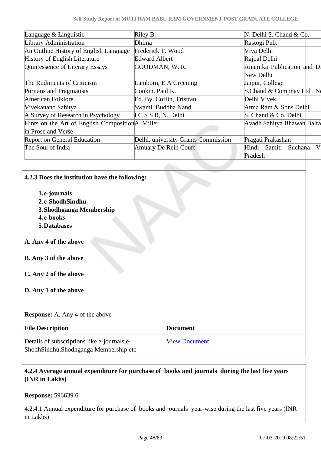| Language $&$ Linguistic                           | Riley B.                            | N. Delhi S. Chand & $\mathbb{C}$ <sub>0</sub> . |
|---------------------------------------------------|-------------------------------------|-------------------------------------------------|
| Library Administration                            | Dhima                               | Rastogi Pub.                                    |
| An Outline History of English Language            | Frederick T. Wood                   | Viva Delhi                                      |
| <b>History of English Literature</b>              | <b>Edward Albert</b>                | Rajpal Delhi                                    |
| Quintessence of Literary Essays                   | GOODMAN, W.R.                       | Anamika Publication and Di                      |
|                                                   |                                     | New Delhi                                       |
| The Rudiments of Criticism                        | Lamborn, E A Greening               | Jaipur, College                                 |
| Puritans and Pragmatists                          | Conkin, Paul K.                     | S.Chand & Compnay $L^{td}$ . No                 |
| American Folklore                                 | Ed. By. Coffin, Tristran            | Delhi Vivek                                     |
| Vivekanand Sahitya                                | Swami. Buddha Nand                  | Atma Ram & Sons Delhi                           |
| A Survey of Research in Psychology                | I C S S R, N. Delhi                 | S. Chand & Co. Delhi                            |
| Hints on the Art of English Composition A. Miller |                                     | Avadh Sahitya Bhawan Balra                      |
| in Prose and Verse                                |                                     |                                                 |
| <b>Report on General Education</b>                | Delhi. university Grants Commission | Pragati Prakashan                               |
| The Soul of India                                 | <b>Amuary De Rein Court</b>         | Hindi Samiti Suchana<br>V                       |
|                                                   |                                     | Pradesh                                         |

# **4.2.3 Does the institution have the following:**

**1.e-journals 2.e-ShodhSindhu 3.Shodhganga Membership 4.e-books 5.Databases A. Any 4 of the above B. Any 3 of the above C. Any 2 of the above D. Any 1 of the above Response:** A. Any 4 of the above **File Description Document** Details of subscriptions like e-journals,e-[View Document](https://assessmentonline.naac.gov.in/storage/app/hei/SSR/102560/4.2.3_1551247252_2616.xlsx)

ShodhSindhu,Shodhganga Membership etc

 **4.2.4 Average annual expenditure for purchase of books and journals during the last five years (INR in Lakhs)**

**Response:** 596639.6

4.2.4.1 Annual expenditure for purchase of books and journals year-wise during the last five years (INR in Lakhs)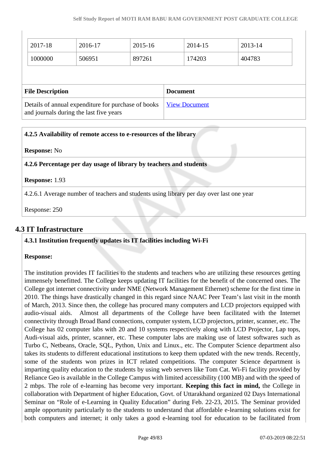| 2017-18                                                                                        | 2016-17         | 2015-16 |                      | 2014-15 |  | 2013-14 |  |
|------------------------------------------------------------------------------------------------|-----------------|---------|----------------------|---------|--|---------|--|
| 1000000                                                                                        | 506951          | 897261  |                      | 174203  |  | 404783  |  |
|                                                                                                |                 |         |                      |         |  |         |  |
| <b>File Description</b>                                                                        | <b>Document</b> |         |                      |         |  |         |  |
| Details of annual expenditure for purchase of books<br>and journals during the last five years |                 |         | <b>View Document</b> |         |  |         |  |

# **4.2.5 Availability of remote access to e-resources of the library**

| <b>Response:</b> No |  |
|---------------------|--|
|---------------------|--|

**4.2.6 Percentage per day usage of library by teachers and students**

### **Response:** 1.93

4.2.6.1 Average number of teachers and students using library per day over last one year

Response: 250

# **4.3 IT Infrastructure**

### **4.3.1 Institution frequently updates its IT facilities including Wi-Fi**

#### **Response:**

The institution provides IT facilities to the students and teachers who are utilizing these resources getting immensely benefitted. The College keeps updating IT facilities for the benefit of the concerned ones. The College got internet connectivity under NME (Network Management Ethernet) scheme for the first time in 2010. The things have drastically changed in this regard since NAAC Peer Team's last visit in the month of March, 2013. Since then, the college has procured many computers and LCD projectors equipped with audio-visual aids. Almost all departments of the College have been facilitated with the Internet connectivity through Broad Band connections, computer system, LCD projectors, printer, scanner, etc. The College has 02 computer labs with 20 and 10 systems respectively along with LCD Projector, Lap tops, Audi-visual aids, printer, scanner, etc. These computer labs are making use of latest softwares such as Turbo C, Netbeans, Oracle, SQL, Python, Unix and Linux., etc. The Computer Science department also takes its students to different educational institutions to keep them updated with the new trends. Recently, some of the students won prizes in ICT related competitions. The computer Science department is imparting quality education to the students by using web servers like Tom Cat. Wi-Fi facility provided by Reliance Geo is available in the College Campus with limited accessibility (100 MB) and with the speed of 2 mbps. The role of e-learning has become very important. **Keeping this fact in mind,** the College in collaboration with Department of higher Education, Govt. of Uttarakhand organized 02 Days International Seminar on "Role of e-Learning in Quality Education" during Feb. 22-23, 2015. The Seminar provided ample opportunity particularly to the students to understand that affordable e-learning solutions exist for both computers and internet; it only takes a good e-learning tool for education to be facilitated from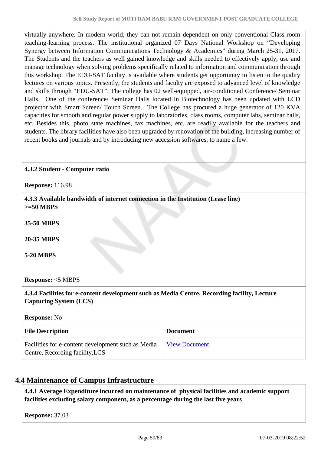virtually anywhere. In modern world, they can not remain dependent on only conventional Class-room teaching-learning process. The institutional organized 07 Days National Workshop on "Developing Synergy between Information Communications Technology & Academics" during March 25-31, 2017. The Students and the teachers as well gained knowledge and skills needed to effectively apply, use and manage technology when solving problems specifically related to information and communication through this workshop. The EDU-SAT facility is available where students get opportunity to listen to the quality lectures on various topics. Presently, the students and faculty are exposed to advanced level of knowledge and skills through "EDU-SAT". The college has 02 well-equipped, air-conditioned Conference/ Seminar Halls. One of the conference/ Seminar Halls located in Biotechnology has been updated with LCD projector with Smart Screen/ Touch Screen. The College has procured a huge generator of 120 KVA capacities for smooth and regular power supply to laboratories, class rooms, computer labs, seminar halls, etc. Besides this, photo state machines, fax machines, etc. are readily available for the teachers and students. The library facilities have also been upgraded by renovation of the building, increasing number of recent books and journals and by introducing new accession softwares, to name a few.

### **4.3.2 Student - Computer ratio**

**Response:** 116.98

 **4.3.3 Available bandwidth of internet connection in the Institution (Lease line) >=50 MBPS**

**35-50 MBPS**

**20-35 MBPS**

**5-20 MBPS**

**Response:** <5 MBPS

 **4.3.4 Facilities for e-content development such as Media Centre, Recording facility, Lecture Capturing System (LCS)**

**Response:** No

| <b>File Description</b>                                                               | <b>Document</b>      |
|---------------------------------------------------------------------------------------|----------------------|
| Facilities for e-content development such as Media<br>Centre, Recording facility, LCS | <b>View Document</b> |

# **4.4 Maintenance of Campus Infrastructure**

 **4.4.1 Average Expenditure incurred on maintenance of physical facilities and academic support facilities excluding salary component, as a percentage during the last five years**

**Response:** 37.03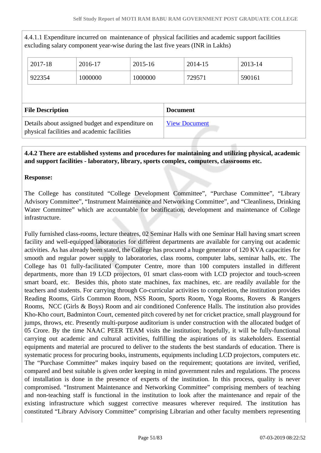4.4.1.1 Expenditure incurred on maintenance of physical facilities and academic support facilities excluding salary component year-wise during the last five years (INR in Lakhs)

| 2017-18                 | 2016-17 | 2015-16 | 2014-15         | 2013-14 |
|-------------------------|---------|---------|-----------------|---------|
| 922354                  | 1000000 | 1000000 | 729571          | 590161  |
|                         |         |         |                 |         |
|                         |         |         |                 |         |
| <b>File Description</b> |         |         | <b>Document</b> |         |

# **4.4.2 There are established systems and procedures for maintaining and utilizing physical, academic and support facilities - laboratory, library, sports complex, computers, classrooms etc.**

### **Response:**

The College has constituted "College Development Committee", "Purchase Committee", "Library Advisory Committee", "Instrument Maintenance and Networking Committee", and "Cleanliness, Drinking Water Committee" which are accountable for beatification, development and maintenance of College infrastructure.

Fully furnished class-rooms, lecture theatres, 02 Seminar Halls with one Seminar Hall having smart screen facility and well-equipped laboratories for different departments are available for carrying out academic activities. As has already been stated, the College has procured a huge generator of 120 KVA capacities for smooth and regular power supply to laboratories, class rooms, computer labs, seminar halls, etc. The College has 01 fully-facilitated Computer Centre, more than 100 computers installed in different departments, more than 19 LCD projectors, 01 smart class-room with LCD projector and touch-screen smart board, etc. Besides this, photo state machines, fax machines, etc. are readily available for the teachers and students. For carrying through Co-curricular activities to completion, the institution provides Reading Rooms, Girls Common Room, NSS Room, Sports Room, Yoga Rooms, Rovers & Rangers Rooms, NCC (Girls & Boys) Room and air conditioned Conference Halls. The institution also provides Kho-Kho court, Badminton Court, cemented pitch covered by net for cricket practice, small playground for jumps, throws, etc. Presently multi-purpose auditorium is under construction with the allocated budget of 05 Crore. By the time NAAC PEER TEAM visits the institution; hopefully, it will be fully-functional carrying out academic and cultural activities, fulfilling the aspirations of its stakeholders. Essential equipments and material are procured to deliver to the students the best standards of education. There is systematic process for procuring books, instruments, equipments including LCD projectors, computers etc. The "Purchase Committee" makes inquiry based on the requirement; quotations are invited, verified, compared and best suitable is given order keeping in mind government rules and regulations. The process of installation is done in the presence of experts of the institution. In this process, quality is never compromised. "Instrument Maintenance and Networking Committee" comprising members of teaching and non-teaching staff is functional in the institution to look after the maintenance and repair of the existing infrastructure which suggest corrective measures wherever required. The institution has constituted "Library Advisory Committee" comprising Librarian and other faculty members representing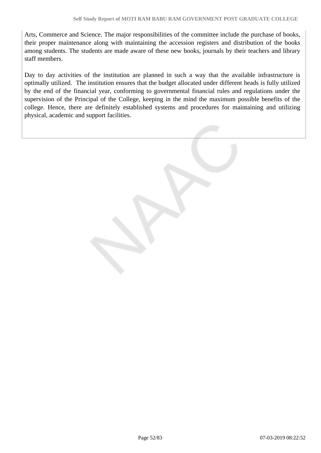Arts, Commerce and Science. The major responsibilities of the committee include the purchase of books, their proper maintenance along with maintaining the accession registers and distribution of the books among students. The students are made aware of these new books, journals by their teachers and library staff members.

Day to day activities of the institution are planned in such a way that the available infrastructure is optimally utilized. The institution ensures that the budget allocated under different heads is fully utilized by the end of the financial year, conforming to governmental financial rules and regulations under the supervision of the Principal of the College, keeping in the mind the maximum possible benefits of the college. Hence, there are definitely established systems and procedures for maintaining and utilizing physical, academic and support facilities.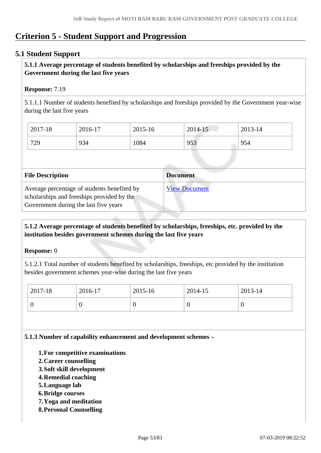# **Criterion 5 - Student Support and Progression**

# **5.1 Student Support**

### **5.1.1 Average percentage of students benefited by scholarships and freeships provided by the Government during the last five years**

### **Response:** 7.19

5.1.1.1 Number of students benefited by scholarships and freeships provided by the Government year-wise during the last five years

| $2017 - 18$ | 2016-17 | 2015-16 | 2014-15 | 2013-14 |
|-------------|---------|---------|---------|---------|
| 729         | 934     | 1084    | 953     | 954     |

| <b>File Description</b>                                                                                                            | <b>Document</b>      |
|------------------------------------------------------------------------------------------------------------------------------------|----------------------|
| Average percentage of students benefited by<br>scholarships and freeships provided by the<br>Government during the last five years | <b>View Document</b> |

# **5.1.2 Average percentage of students benefited by scholarships, freeships, etc. provided by the institution besides government schemes during the last five years**

#### **Response:** 0

5.1.2.1 Total number of students benefited by scholarships, freeships, etc provided by the institution besides government schemes year-wise during the last five years

| 2017-18 | 2016-17 | 2015-16 | 2014-15 | $2013 - 14$ |
|---------|---------|---------|---------|-------------|
|         |         | ν       |         | ν           |

**5.1.3 Number of capability enhancement and development schemes –**

- **1.For competitive examinations**
- **2.Career counselling**
- **3.Soft skill development**
- **4.Remedial coaching**
- **5.Language lab**
- **6.Bridge courses**
- **7.Yoga and meditation**
- **8.Personal Counselling**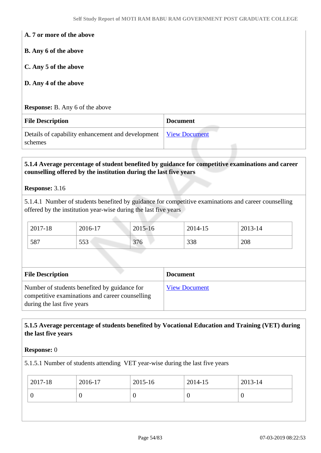| A. 7 or more of the above                                    |                                 |
|--------------------------------------------------------------|---------------------------------|
| <b>B.</b> Any 6 of the above                                 |                                 |
| C. Any 5 of the above                                        |                                 |
| D. Any 4 of the above                                        |                                 |
|                                                              |                                 |
| <b>Response:</b> B. Any 6 of the above                       |                                 |
| <b>File Description</b>                                      | <b>Document</b>                 |
| Details of capability enhancement and development<br>schemes | <b>View Document</b><br>التناول |

# **5.1.4 Average percentage of student benefited by guidance for competitive examinations and career counselling offered by the institution during the last five years**

#### **Response:** 3.16

5.1.4.1 Number of students benefited by guidance for competitive examinations and career counselling offered by the institution year-wise during the last five years

| 2017-18 | 2016-17    | 2015-16 | 2014-15 | 2013-14 |
|---------|------------|---------|---------|---------|
| 587     | 552<br>JJJ | 376     | 338     | 208     |

| <b>File Description</b>                                                                                                       | <b>Document</b>      |
|-------------------------------------------------------------------------------------------------------------------------------|----------------------|
| Number of students benefited by guidance for<br>competitive examinations and career counselling<br>during the last five years | <b>View Document</b> |

# **5.1.5 Average percentage of students benefited by Vocational Education and Training (VET) during the last five years**

#### **Response:** 0

5.1.5.1 Number of students attending VET year-wise during the last five years

| 2017-18 | 2016-17 | 2015-16 | 2014-15 | 2013-14 |
|---------|---------|---------|---------|---------|
|         |         |         | ν       | ◡       |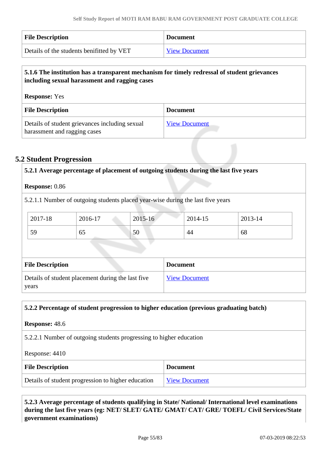| <b>File Description</b>                   | <b>Document</b>      |
|-------------------------------------------|----------------------|
| Details of the students benifitted by VET | <b>View Document</b> |

# **5.1.6 The institution has a transparent mechanism for timely redressal of student grievances including sexual harassment and ragging cases**

| <b>Response:</b> Yes                                                           |                      |  |
|--------------------------------------------------------------------------------|----------------------|--|
| <b>File Description</b>                                                        | <b>Document</b>      |  |
| Details of student grievances including sexual<br>harassment and ragging cases | <b>View Document</b> |  |

# **5.2 Student Progression**

|                                                     | 5.2.1 Average percentage of placement of outgoing students during the last five years |    |                 |                      |    |  |
|-----------------------------------------------------|---------------------------------------------------------------------------------------|----|-----------------|----------------------|----|--|
| <b>Response: 0.86</b>                               |                                                                                       |    |                 |                      |    |  |
|                                                     | 5.2.1.1 Number of outgoing students placed year-wise during the last five years       |    |                 |                      |    |  |
| 2017-18<br>2015-16<br>2014-15<br>2013-14<br>2016-17 |                                                                                       |    |                 |                      |    |  |
| 59                                                  | 65                                                                                    | 50 |                 | 44                   | 68 |  |
|                                                     |                                                                                       |    |                 |                      |    |  |
| <b>File Description</b>                             |                                                                                       |    | <b>Document</b> |                      |    |  |
| years                                               | Details of student placement during the last five                                     |    |                 | <b>View Document</b> |    |  |

### **5.2.2 Percentage of student progression to higher education (previous graduating batch)**

**Response:** 48.6

5.2.2.1 Number of outgoing students progressing to higher education

Response: 4410

| <b>File Description</b>                            | <b>Document</b>      |
|----------------------------------------------------|----------------------|
| Details of student progression to higher education | <b>View Document</b> |

 **5.2.3 Average percentage of students qualifying in State/ National/ International level examinations during the last five years (eg: NET/ SLET/ GATE/ GMAT/ CAT/ GRE/ TOEFL/ Civil Services/State government examinations)**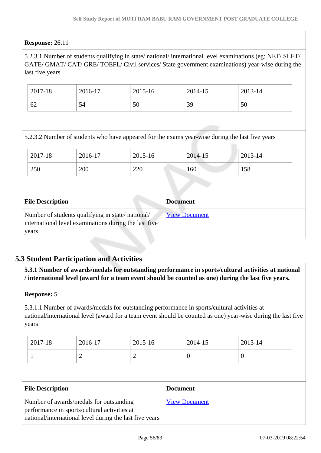# **Response:** 26.11

5.2.3.1 Number of students qualifying in state/ national/ international level examinations (eg: NET/ SLET/ GATE/ GMAT/ CAT/ GRE/ TOEFL/ Civil services/ State government examinations) year-wise during the last five years

| 2017-18 | 2016-17 | 2015-16 | 2014-15 | 2013-14 |
|---------|---------|---------|---------|---------|
| 62      | 54      | 50      | 39      | 50      |

5.2.3.2 Number of students who have appeared for the exams year-wise during the last five years

| 2017-18 | 2016-17 | 2015-16 | 2014-15 | 2013-14 |
|---------|---------|---------|---------|---------|
| 250     | 200     | 220     | 160     | 158     |

| <b>File Description</b>                                                                                            | <b>Document</b>      |
|--------------------------------------------------------------------------------------------------------------------|----------------------|
| Number of students qualifying in state/national/<br>international level examinations during the last five<br>years | <b>View Document</b> |

# **5.3 Student Participation and Activities**

 **5.3.1 Number of awards/medals for outstanding performance in sports/cultural activities at national / international level (award for a team event should be counted as one) during the last five years.**

#### **Response:** 5

5.3.1.1 Number of awards/medals for outstanding performance in sports/cultural activities at national/international level (award for a team event should be counted as one) year-wise during the last five years

| 2017-18  | 2016-17 | 2015-16                  | 2014-15 | 2013-14 |
|----------|---------|--------------------------|---------|---------|
| <b>.</b> | ∽       | $\overline{\phantom{0}}$ |         | ν       |

| <b>File Description</b>                                 | <b>Document</b>      |
|---------------------------------------------------------|----------------------|
| Number of awards/medals for outstanding                 | <b>View Document</b> |
| performance in sports/cultural activities at            |                      |
| national/international level during the last five years |                      |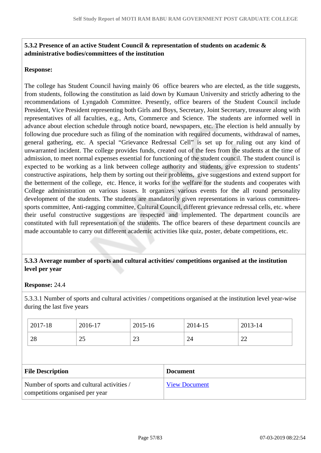# **5.3.2 Presence of an active Student Council & representation of students on academic & administrative bodies/committees of the institution**

### **Response:**

The college has Student Council having mainly 06 office bearers who are elected, as the title suggests, from students, following the constitution as laid down by Kumaun University and strictly adhering to the recommendations of Lyngadoh Committee. Presently, office bearers of the Student Council include President, Vice President representing both Girls and Boys, Secretary, Joint Secretary, treasurer along with representatives of all faculties, e.g., Arts, Commerce and Science. The students are informed well in advance about election schedule through notice board, newspapers, etc. The election is held annually by following due procedure such as filing of the nomination with required documents, withdrawal of names, general gathering, etc. A special "Grievance Redressal Cell" is set up for ruling out any kind of unwarranted incident. The college provides funds, created out of the fees from the students at the time of admission, to meet normal expenses essential for functioning of the student council. The student council is expected to be working as a link between college authority and students, give expression to students' constructive aspirations, help them by sorting out their problems, give suggestions and extend support for the betterment of the college, etc. Hence, it works for the welfare for the students and cooperates with College administration on various issues. It organizes various events for the all round personality development of the students. The students are mandatorily given representations in various committeessports committee, Anti-ragging committee, Cultural Council, different grievance redressal cells, etc. where their useful constructive suggestions are respected and implemented. The department councils are constituted with full representation of the students. The office bearers of these department councils are made accountable to carry out different academic activities like quiz, poster, debate competitions, etc.

### **5.3.3 Average number of sports and cultural activities/ competitions organised at the institution level per year**

#### **Response:** 24.4

5.3.3.1 Number of sports and cultural activities / competitions organised at the institution level year-wise during the last five years

| 2017-18                                                                       | 2016-17 | 2015-16 | 2014-15         | 2013-14 |  |
|-------------------------------------------------------------------------------|---------|---------|-----------------|---------|--|
| 28                                                                            | 25      | 23      | 24              | 22      |  |
|                                                                               |         |         |                 |         |  |
| <b>File Description</b>                                                       |         |         | <b>Document</b> |         |  |
| Number of sports and cultural activities /<br>competitions organised per year |         |         |                 |         |  |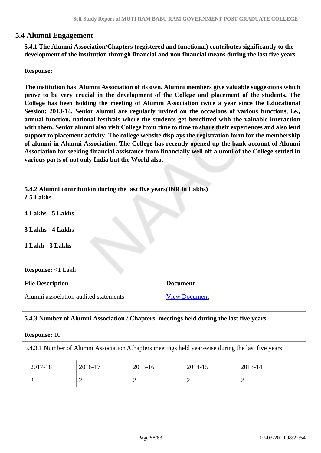# **5.4 Alumni Engagement**

 **5.4.1 The Alumni Association/Chapters (registered and functional) contributes significantly to the development of the institution through financial and non financial means during the last five years**

**Response:** 

**The institution has Alumni Association of its own. Alumni members give valuable suggestions which prove to be very crucial in the development of the College and placement of the students. The College has been holding the meeting of Alumni Association twice a year since the Educational Session: 2013-14. Senior alumni are regularly invited on the occasions of various functions, i.e., annual function, national festivals where the students get benefitted with the valuable interaction with them. Senior alumni also visit College from time to time to share their experiences and also lend support to placement activity. The college website displays the registration form for the membership of alumni in Alumni Association. The College has recently opened up the bank account of Alumni Association for seeking financial assistance from financially well off alumni of the College settled in various parts of not only India but the World also.**

 **5.4.2 Alumni contribution during the last five years(INR in Lakhs) ? 5 Lakhs**

**4 Lakhs - 5 Lakhs**

**3 Lakhs - 4 Lakhs**

**1 Lakh - 3 Lakhs**

**Response:** <1 Lakh

| <b>File Description</b>               | <b>Document</b>      |
|---------------------------------------|----------------------|
| Alumni association audited statements | <b>View Document</b> |

### **5.4.3 Number of Alumni Association / Chapters meetings held during the last five years**

#### **Response:** 10

5.4.3.1 Number of Alumni Association /Chapters meetings held year-wise during the last five years

| 2017-18 | 2016-17 | 2015-16 | 2014-15 | 2013-14 |
|---------|---------|---------|---------|---------|
| ∼       | ∼       | ∽       | ∼       | ∼       |
|         |         |         |         |         |
|         |         |         |         |         |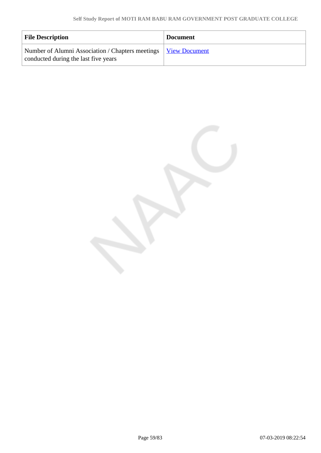| <b>File Description</b>                                                                                  | <b>Document</b> |
|----------------------------------------------------------------------------------------------------------|-----------------|
| Number of Alumni Association / Chapters meetings   View Document<br>conducted during the last five years |                 |

Page 59/83 07-03-2019 08:22:54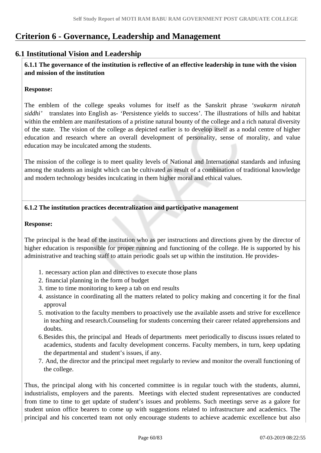# **Criterion 6 - Governance, Leadership and Management**

# **6.1 Institutional Vision and Leadership**

 **6.1.1 The governance of the institution is reflective of an effective leadership in tune with the vision and mission of the institution**

#### **Response:**

The emblem of the college speaks volumes for itself as the Sanskrit phrase *'swakarm niratah siddhi'* translates into English as- 'Persistence yields to success'. The illustrations of hills and habitat within the emblem are manifestations of a pristine natural bounty of the college and a rich natural diversity of the state. The vision of the college as depicted earlier is to develop itself as a nodal centre of higher education and research where an overall development of personality, sense of morality, and value education may be inculcated among the students.

The mission of the college is to meet quality levels of National and International standards and infusing among the students an insight which can be cultivated as result of a combination of traditional knowledge and modern technology besides inculcating in them higher moral and ethical values.

### **6.1.2 The institution practices decentralization and participative management**

#### **Response:**

The principal is the head of the institution who as per instructions and directions given by the director of higher education is responsible for proper running and functioning of the college. He is supported by his administrative and teaching staff to attain periodic goals set up within the institution. He provides-

- 1. necessary action plan and directives to execute those plans
- 2. financial planning in the form of budget
- 3. time to time monitoring to keep a tab on end results
- 4. assistance in coordinating all the matters related to policy making and concerting it for the final approval
- 5. motivation to the faculty members to proactively use the available assets and strive for excellence in teaching and research.Counseling for students concerning their career related apprehensions and doubts.
- 6.Besides this, the principal and Heads of departments meet periodically to discuss issues related to academics, students and faculty development concerns. Faculty members, in turn, keep updating the departmental and student's issues, if any.
- 7. And, the director and the principal meet regularly to review and monitor the overall functioning of the college.

Thus, the principal along with his concerted committee is in regular touch with the students, alumni, industrialists, employers and the parents. Meetings with elected student representatives are conducted from time to time to get update of student's issues and problems. Such meetings serve as a galore for student union office bearers to come up with suggestions related to infrastructure and academics. The principal and his concerted team not only encourage students to achieve academic excellence but also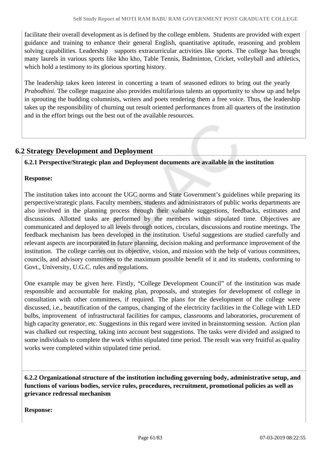facilitate their overall development as is defined by the college emblem. Students are provided with expert guidance and training to enhance their general English, quantitative aptitude, reasoning and problem solving capabilities. Leadership supports extracurricular activities like sports. The college has brought many laurels in various sports like kho kho, Table Tennis, Badminton, Cricket, volleyball and athletics, which hold a testimony to its glorious sporting history.

The leadership takes keen interest in concerting a team of seasoned editors to bring out the yearly *Prabodhini*. The college magazine also provides multifarious talents an opportunity to show up and helps in sprouting the budding columnists, writers and poets rendering them a free voice. Thus, the leadership takes up the responsibility of churning out result oriented performances from all quarters of the institution and in the effort brings out the best out of the available resources.

# **6.2 Strategy Development and Deployment**

**6.2.1 Perspective/Strategic plan and Deployment documents are available in the institution**

# **Response:**

The institution takes into account the UGC norms and State Government's guidelines while preparing its perspective/strategic plans. Faculty members, students and administrators of public works departments are also involved in the planning process through their valuable suggestions, feedbacks, estimates and discussions. Allotted tasks are performed by the members within stipulated time. Objectives are communicated and deployed to all levels through notices, circulars, discussions and routine meetings. The feedback mechanism has been developed in the institution. Useful suggestions are studied carefully and relevant aspects are incorporated in future planning, decision making and performance improvement of the institution. The college carries out its objective, vision, and mission with the help of various committees, councils, and advisory committees to the maximum possible benefit of it and its students, conforming to Govt., University, U.G.C. rules and regulations.

One example may be given here. Firstly, "College Development Council" of the institution was made responsible and accountable for making plan, proposals, and strategies for development of college in consultation with other committees, if required. The plans for the development of the college were discussed, i.e., beautification of the campus, changing of the electricity facilities in the College with LED bulbs, improvement of infrastructural facilities for campus, classrooms and laboratories, procurement of high capacity generator, etc. Suggestions in this regard were invited in brainstorming session. Action plan was chalked out respecting, taking into account best suggestions. The tasks were divided and assigned to some individuals to complete the work within stipulated time period. The result was very fruitful as quality works were completed within stipulated time period.

 **6.2.2 Organizational structure of the institution including governing body, administrative setup, and functions of various bodies, service rules, procedures, recruitment, promotional policies as well as grievance redressal mechanism**

**Response:**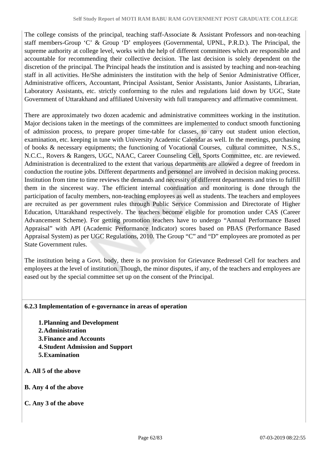The college consists of the principal, teaching staff-Associate & Assistant Professors and non-teaching staff members-Group 'C' & Group 'D' employees (Governmental, UPNL, P.R.D.). The Principal, the supreme authority at college level, works with the help of different committees which are responsible and accountable for recommending their collective decision. The last decision is solely dependent on the discretion of the principal. The Principal heads the institution and is assisted by teaching and non-teaching staff in all activities. He/She administers the institution with the help of Senior Administrative Officer, Administrative officers, Accountant, Principal Assistant, Senior Assistants, Junior Assistants, Librarian, Laboratory Assistants, etc. strictly conforming to the rules and regulations laid down by UGC, State Government of Uttarakhand and affiliated University with full transparency and affirmative commitment.

There are approximately two dozen academic and administrative committees working in the institution. Major decisions taken in the meetings of the committees are implemented to conduct smooth functioning of admission process, to prepare proper time-table for classes, to carry out student union election, examination, etc. keeping in tune with University Academic Calendar as well. In the meetings, purchasing of books & necessary equipments; the functioning of Vocational Courses, cultural committee, N.S.S., N.C.C., Rovers & Rangers, UGC, NAAC, Career Counseling Cell, Sports Committee, etc. are reviewed. Administration is decentralized to the extent that various departments are allowed a degree of freedom in conduction the routine jobs. Different departments and personnel are involved in decision making process. Institution from time to time reviews the demands and necessity of different departments and tries to fulfill them in the sincerest way. The efficient internal coordination and monitoring is done through the participation of faculty members, non-teaching employees as well as students. The teachers and employees are recruited as per government rules through Public Service Commission and Directorate of Higher Education, Uttarakhand respectively. The teachers become eligible for promotion under CAS (Career Advancement Scheme). For getting promotion teachers have to undergo "Annual Performance Based Appraisal" with API (Academic Performance Indicator) scores based on PBAS (Performance Based Appraisal System) as per UGC Regulations, 2010. The Group "C" and "D" employees are promoted as per State Government rules.

The institution being a Govt. body, there is no provision for Grievance Redressel Cell for teachers and employees at the level of institution. Though, the minor disputes, if any, of the teachers and employees are eased out by the special committee set up on the consent of the Principal.

### **6.2.3 Implementation of e-governance in areas of operation**

- **1.Planning and Development**
- **2.Administration**
- **3.Finance and Accounts**
- **4.Student Admission and Support**
- **5.Examination**
- **A. All 5 of the above**
- **B. Any 4 of the above**
- **C. Any 3 of the above**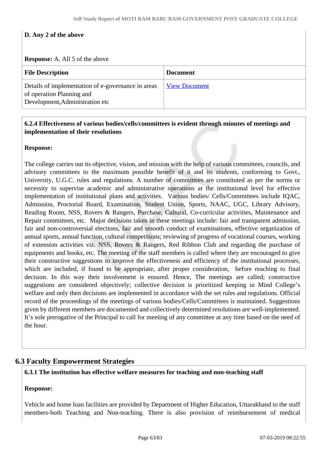### **D. Any 2 of the above**

**Response:** A. All 5 of the above

| <b>File Description</b>                                                                                            | <b>Document</b>      |
|--------------------------------------------------------------------------------------------------------------------|----------------------|
| Details of implementation of e-governance in areas<br>of operation Planning and<br>Development, Administration etc | <b>View Document</b> |

### **6.2.4 Effectiveness of various bodies/cells/committees is evident through minutes of meetings and implementation of their resolutions**

**Response:** 

The college carries out its objective, vision, and mission with the help of various committees, councils, and advisory committees to the maximum possible benefit of it and its students, conforming to Govt., University, U.G.C. rules and regulations. A number of committees are constituted as per the norms or necessity to supervise academic and administrative operations at the institutional level for effective implementation of institutional plans and activities. Various bodies/ Cells/Committees include IQAC, Admission, Proctorial Board, Examination, Student Union, Sports, NAAC, UGC, Library Advisory, Reading Room, NSS, Rovers & Rangers, Purchase, Cultural, Co-curricular activities, Maintenance and Repair committees, etc. Major decisions taken in these meetings include: fair and transparent admission, fair and non-controversial elections, fair and smooth conduct of examinations, effective organization of annual sports, annual function, cultural competitions; reviewing of progress of vocational courses, working of extension activities viz. NSS, Rovers & Rangers, Red Ribbon Club and regarding the purchase of equipments and books, etc. The meeting of the staff members is called where they are encouraged to give their constructive suggestions to improve the effectiveness and efficiency of the institutional processes, which are included, if found to be appropriate, after proper consideration, before reaching to final decision. In this way their involvement is ensured. Hence, The meetings are called; constructive suggestions are considered objectively; collective decision is prioritized keeping in Mind College's welfare and only then decisions are implemented in accordance with the set rules and regulations. Official record of the proceedings of the meetings of various bodies/Cells/Committees is maintained. Suggestions given by different members are documented and collectively determined resolutions are well-implemented. It's sole prerogative of the Principal to call for meeting of any committee at any time based on the need of the hour.

# **6.3 Faculty Empowerment Strategies**

#### **6.3.1 The institution has effective welfare measures for teaching and non-teaching staff**

#### **Response:**

Vehicle and home loan facilities are provided by Department of Higher Education, Uttarakhand to the staff members-both Teaching and Non-teaching. There is also provision of reimbursement of medical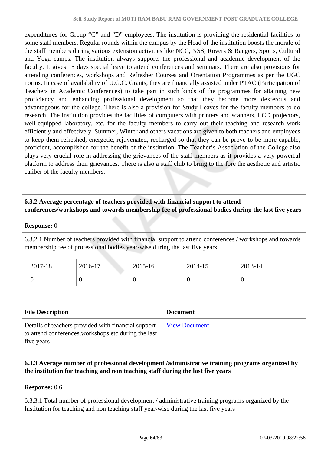expenditures for Group "C" and "D" employees. The institution is providing the residential facilities to some staff members. Regular rounds within the campus by the Head of the institution boosts the morale of the staff members during various extension activities like NCC, NSS, Rovers & Rangers, Sports, Cultural and Yoga camps. The institution always supports the professional and academic development of the faculty. It gives 15 days special leave to attend conferences and seminars. There are also provisions for attending conferences, workshops and Refresher Courses and Orientation Programmes as per the UGC norms. In case of availability of U.G.C. Grants, they are financially assisted under PTAC (Participation of Teachers in Academic Conferences) to take part in such kinds of the programmes for attaining new proficiency and enhancing professional development so that they become more dexterous and advantageous for the college. There is also a provision for Study Leaves for the faculty members to do research. The institution provides the facilities of computers with printers and scanners, LCD projectors, well-equipped laboratory, etc. for the faculty members to carry out their teaching and research work efficiently and effectively. Summer, Winter and others vacations are given to both teachers and employees to keep them refreshed, energetic, rejuvenated, recharged so that they can be prove to be more capable, proficient, accomplished for the benefit of the institution. The Teacher's Association of the College also plays very crucial role in addressing the grievances of the staff members as it provides a very powerful platform to address their grievances. There is also a staff club to bring to the fore the aesthetic and artistic caliber of the faculty members.

# **6.3.2 Average percentage of teachers provided with financial support to attend conferences/workshops and towards membership fee of professional bodies during the last five years**

### **Response:** 0

6.3.2.1 Number of teachers provided with financial support to attend conferences / workshops and towards membership fee of professional bodies year-wise during the last five years

| 2017-18 | 2016-17 | 2015-16 | 2014-15        | 2013-14 |
|---------|---------|---------|----------------|---------|
|         | U       |         | $\overline{0}$ | ◡       |

| <b>File Description</b>                                                                                                   | <b>Document</b>      |
|---------------------------------------------------------------------------------------------------------------------------|----------------------|
| Details of teachers provided with financial support<br>to attend conferences, workshops etc during the last<br>five years | <b>View Document</b> |

# **6.3.3 Average number of professional development /administrative training programs organized by the institution for teaching and non teaching staff during the last five years**

### **Response:** 0.6

6.3.3.1 Total number of professional development / administrative training programs organized by the Institution for teaching and non teaching staff year-wise during the last five years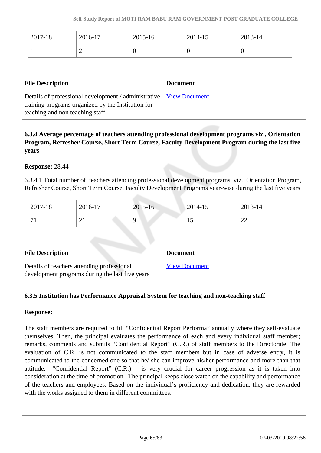| 2017-18                                              | 2016-17        | 2015-16         |                      | 2014-15  | 2013-14  |  |
|------------------------------------------------------|----------------|-----------------|----------------------|----------|----------|--|
|                                                      |                |                 |                      |          |          |  |
|                                                      | $\overline{2}$ | $\cup$          |                      | $\theta$ | $\theta$ |  |
|                                                      |                |                 |                      |          |          |  |
|                                                      |                |                 |                      |          |          |  |
| <b>File Description</b>                              |                | <b>Document</b> |                      |          |          |  |
| Details of professional development / administrative |                |                 | <b>View Document</b> |          |          |  |
| training programs organized by the Institution for   |                |                 |                      |          |          |  |
| teaching and non teaching staff                      |                |                 |                      |          |          |  |

 **6.3.4 Average percentage of teachers attending professional development programs viz., Orientation Program, Refresher Course, Short Term Course, Faculty Development Program during the last five years**

**Response:** 28.44

6.3.4.1 Total number of teachers attending professional development programs, viz., Orientation Program, Refresher Course, Short Term Course, Faculty Development Programs year-wise during the last five years

| 2017-18  | 2016-17                         | 2015-16 | 2014-15 | 2013-14                        |
|----------|---------------------------------|---------|---------|--------------------------------|
| $\sim$ 1 | $\sim$ 1<br>a sa san an an an S |         | 1 J     | nη<br>$\overline{\phantom{m}}$ |

| <b>File Description</b>                                                                       | <b>Document</b>      |
|-----------------------------------------------------------------------------------------------|----------------------|
| Details of teachers attending professional<br>development programs during the last five years | <b>View Document</b> |

### **6.3.5 Institution has Performance Appraisal System for teaching and non-teaching staff**

### **Response:**

The staff members are required to fill "Confidential Report Performa" annually where they self-evaluate themselves. Then, the principal evaluates the performance of each and every individual staff member; remarks, comments and submits "Confidential Report" (C.R.) of staff members to the Directorate. The evaluation of C.R. is not communicated to the staff members but in case of adverse entry, it is communicated to the concerned one so that he/ she can improve his/her performance and more than that attitude. "Confidential Report" (C.R.) is very crucial for career progression as it is taken into consideration at the time of promotion. The principal keeps close watch on the capability and performance of the teachers and employees. Based on the individual's proficiency and dedication, they are rewarded with the works assigned to them in different committees.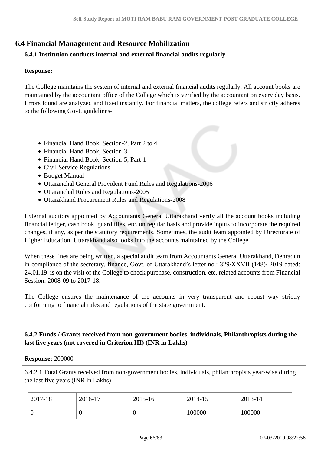# **6.4 Financial Management and Resource Mobilization**

#### **6.4.1 Institution conducts internal and external financial audits regularly**

### **Response:**

The College maintains the system of internal and external financial audits regularly. All account books are maintained by the accountant office of the College which is verified by the accountant on every day basis. Errors found are analyzed and fixed instantly. For financial matters, the college refers and strictly adheres to the following Govt. guidelines-

- Financial Hand Book, Section-2, Part 2 to 4
- Financial Hand Book, Section-3
- Financial Hand Book, Section-5, Part-1
- Civil Service Regulations
- Budget Manual
- Uttaranchal General Provident Fund Rules and Regulations-2006
- Uttaranchal Rules and Regulations-2005
- Uttarakhand Procurement Rules and Regulations-2008

External auditors appointed by Accountants General Uttarakhand verify all the account books including financial ledger, cash book, guard files, etc. on regular basis and provide inputs to incorporate the required changes, if any, as per the statutory requirements. Sometimes, the audit team appointed by Directorate of Higher Education, Uttarakhand also looks into the accounts maintained by the College.

When these lines are being written, a special audit team from Accountants General Uttarakhand, Dehradun in compliance of the secretary, finance, Govt. of Uttarakhand's letter no.: 329/XXVII (148)/ 2019 dated: 24.01.19 is on the visit of the College to check purchase, construction, etc. related accounts from Financial Session: 2008-09 to 2017-18.

The College ensures the maintenance of the accounts in very transparent and robust way strictly conforming to financial rules and regulations of the state government.

 **6.4.2 Funds / Grants received from non-government bodies, individuals, Philanthropists during the last five years (not covered in Criterion III) (INR in Lakhs)**

#### **Response:** 200000

6.4.2.1 Total Grants received from non-government bodies, individuals, philanthropists year-wise during the last five years (INR in Lakhs)

| 2017-18 | 2016-17 | 2015-16 | 2014-15 | 2013-14 |
|---------|---------|---------|---------|---------|
|         |         | ν       | 100000  | 100000  |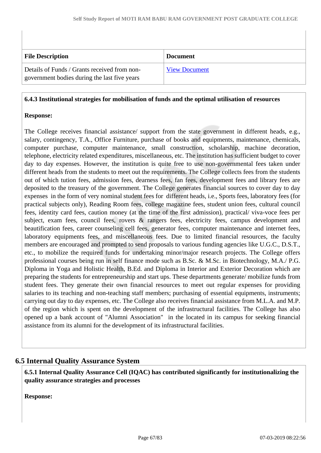| <b>File Description</b>                                                                      | <b>Document</b>      |
|----------------------------------------------------------------------------------------------|----------------------|
| Details of Funds / Grants received from non-<br>government bodies during the last five years | <b>View Document</b> |

### **6.4.3 Institutional strategies for mobilisation of funds and the optimal utilisation of resources**

### **Response:**

The College receives financial assistance/ support from the state government in different heads, e.g., salary, contingency, T.A., Office Furniture, purchase of books and equipments, maintenance, chemicals, computer purchase, computer maintenance, small construction, scholarship, machine decoration, telephone, electricity related expenditures, miscellaneous, etc. The institution has sufficient budget to cover day to day expenses. However, the institution is quite free to use non-governmental fees taken under different heads from the students to meet out the requirements. The College collects fees from the students out of which tution fees, admission fees, dearness fees, fan fees, development fees and library fees are deposited to the treasury of the government. The College generates financial sources to cover day to day expenses in the form of very nominal student fees for different heads, i.e., Sports fees, laboratory fees (for practical subjects only), Reading Room fees, college magazine fees, student union fees, cultural council fees, identity card fees, caution money (at the time of the first admission), practical/ viva-voce fees per subject, exam fees, council fees, rovers & rangers fees, electricity fees, campus development and beautification fees, career counseling cell fees, generator fees, computer maintenance and internet fees, laboratory equipments fees, and miscellaneous fees. Due to limited financial resources, the faculty members are encouraged and prompted to send proposals to various funding agencies like U.G.C., D.S.T., etc., to mobilize the required funds for undertaking minor/major research projects. The College offers professional courses being run in self finance mode such as B.Sc. & M.Sc. in Biotechnology, M.A./ P.G. Diploma in Yoga and Holistic Health, B.Ed. and Diploma in Interior and Exterior Decoration which are preparing the students for entrepreneurship and start ups. These departments generate/ mobilize funds from student fees. They generate their own financial resources to meet out regular expenses for providing salaries to its teaching and non-teaching staff members; purchasing of essential equipments, instruments; carrying out day to day expenses, etc. The College also receives financial assistance from M.L.A. and M.P. of the region which is spent on the development of the infrastructural facilities. The College has also opened up a bank account of "Alumni Association" in the located in its campus for seeking financial assistance from its alumni for the development of its infrastructural facilities.

# **6.5 Internal Quality Assurance System**

 **6.5.1 Internal Quality Assurance Cell (IQAC) has contributed significantly for institutionalizing the quality assurance strategies and processes**

**Response:**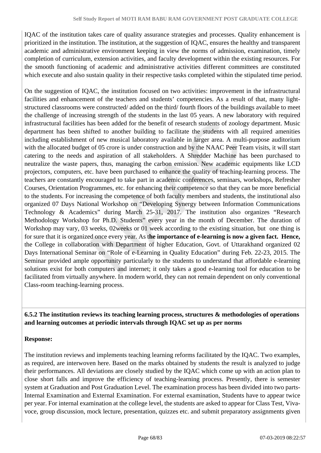IQAC of the institution takes care of quality assurance strategies and processes. Quality enhancement is prioritized in the institution. The institution, at the suggestion of IQAC, ensures the healthy and transparent academic and administrative environment keeping in view the norms of admission, examination, timely completion of curriculum, extension activities, and faculty development within the existing resources. For the smooth functioning of academic and administrative activities different committees are constituted which execute and also sustain quality in their respective tasks completed within the stipulated time period.

On the suggestion of IQAC, the institution focused on two activities: improvement in the infrastructural facilities and enhancement of the teachers and students' competencies. As a result of that, many lightstructured classrooms were constructed/ added on the third/ fourth floors of the buildings available to meet the challenge of increasing strength of the students in the last 05 years. A new laboratory with required infrastructural facilities has been added for the benefit of research students of zoology department. Music department has been shifted to another building to facilitate the students with all required amenities including establishment of new musical laboratory available in larger area. A multi-purpose auditorium with the allocated budget of 05 crore is under construction and by the NAAC Peer Team visits, it will start catering to the needs and aspiration of all stakeholders. A Shredder Machine has been purchased to neutralize the waste papers, thus, managing the carbon emission. New academic equipments like LCD projectors, computers, etc. have been purchased to enhance the quality of teaching-learning process. The teachers are constantly encouraged to take part in academic conferences, seminars, workshops, Refresher Courses, Orientation Programmes, etc. for enhancing their competence so that they can be more beneficial to the students. For increasing the competence of both faculty members and students, the institutional also organized 07 Days National Workshop on "Developing Synergy between Information Communications Technology & Academics" during March 25-31, 2017. The institution also organizes "Research Methodology Workshop for Ph.D. Students" every year in the month of December. The duration of Workshop may vary, 03 weeks, 02weeks or 01 week according to the existing situation, but one thing is for sure that it is organized once every year. As t**he importance of e-learning is now a given fact. Hence,** the College in collaboration with Department of higher Education, Govt. of Uttarakhand organized 02 Days International Seminar on "Role of e-Learning in Quality Education" during Feb. 22-23, 2015. The Seminar provided ample opportunity particularly to the students to understand that affordable e-learning solutions exist for both computers and internet; it only takes a good e-learning tool for education to be facilitated from virtually anywhere. In modern world, they can not remain dependent on only conventional Class-room teaching-learning process.

# **6.5.2 The institution reviews its teaching learning process, structures & methodologies of operations and learning outcomes at periodic intervals through IQAC set up as per norms**

# **Response:**

The institution reviews and implements teaching learning reforms facilitated by the IQAC. Two examples, as required, are interwoven here. Based on the marks obtained by students the result is analyzed to judge their performances. All deviations are closely studied by the IQAC which come up with an action plan to close short falls and improve the efficiency of teaching-learning process. Presently, there is semester system at Graduation and Post Graduation Level. The examination process has been divided into two parts-Internal Examination and External Examination. For external examination, Students have to appear twice per year. For internal examination at the college level, the students are asked to appear for Class Test, Vivavoce, group discussion, mock lecture, presentation, quizzes etc. and submit preparatory assignments given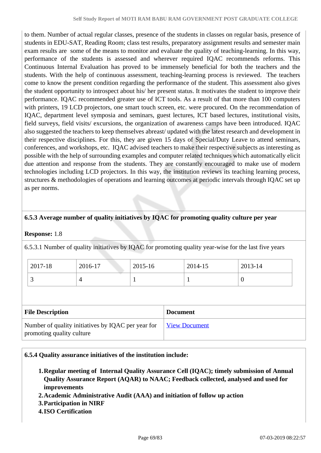to them. Number of actual regular classes, presence of the students in classes on regular basis, presence of students in EDU-SAT, Reading Room; class test results, preparatory assignment results and semester main exam results are some of the means to monitor and evaluate the quality of teaching-learning. In this way, performance of the students is assessed and wherever required IQAC recommends reforms. This Continuous Internal Evaluation has proved to be immensely beneficial for both the teachers and the students. With the help of continuous assessment, teaching-learning process is reviewed. The teachers come to know the present condition regarding the performance of the student. This assessment also gives the student opportunity to introspect about his/ her present status. It motivates the student to improve their performance. IQAC recommended greater use of ICT tools. As a result of that more than 100 computers with printers, 19 LCD projectors, one smart touch screen, etc. were procured. On the recommendation of IQAC, department level symposia and seminars, guest lectures, ICT based lectures, institutional visits, field surveys, field visits/ excursions, the organization of awareness camps have been introduced. IQAC also suggested the teachers to keep themselves abreast/ updated with the latest research and development in their respective disciplines. For this, they are given 15 days of Special/Duty Leave to attend seminars, conferences, and workshops, etc. IQAC advised teachers to make their respective subjects as interesting as possible with the help of surrounding examples and computer related techniques which automatically elicit due attention and response from the students. They are constantly encouraged to make use of modern technologies including LCD projectors. In this way, the institution reviews its teaching learning process, structures & methodologies of operations and learning outcomes at periodic intervals through IQAC set up as per norms.

# **6.5.3 Average number of quality initiatives by IQAC for promoting quality culture per year**

### **Response:** 1.8

6.5.3.1 Number of quality initiatives by IQAC for promoting quality year-wise for the last five years

| 2017-18 | 2016-17 | 2015-16 | 2014-15 | 2013-14 |
|---------|---------|---------|---------|---------|
|         |         |         |         |         |

| <b>File Description</b>                                                         | <b>Document</b>      |
|---------------------------------------------------------------------------------|----------------------|
| Number of quality initiatives by IQAC per year for<br>promoting quality culture | <b>View Document</b> |

#### **6.5.4 Quality assurance initiatives of the institution include:**

- **1.Regular meeting of Internal Quality Assurance Cell (IQAC); timely submission of Annual Quality Assurance Report (AQAR) to NAAC; Feedback collected, analysed and used for improvements**
- **2.Academic Administrative Audit (AAA) and initiation of follow up action**
- **3.Participation in NIRF**
- **4.ISO Certification**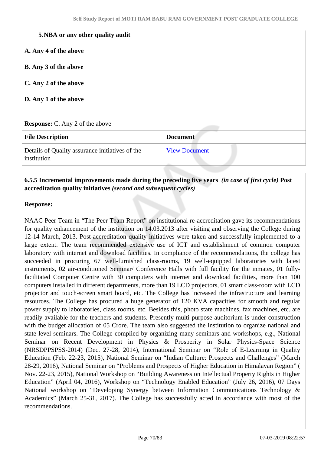#### **5.NBA or any other quality audit**

- **A. Any 4 of the above**
- **B. Any 3 of the above**
- **C. Any 2 of the above**
- **D. Any 1 of the above**

#### **Response:** C. Any 2 of the above

| <b>File Description</b>                                        | <b>Document</b>      |
|----------------------------------------------------------------|----------------------|
| Details of Quality assurance initiatives of the<br>institution | <b>View Document</b> |

### **6.5.5 Incremental improvements made during the preceding five years** *(in case of first cycle)* **Post accreditation quality initiatives** *(second and subsequent cycles)*

#### **Response:**

NAAC Peer Team in "The Peer Team Report" on institutional re-accreditation gave its recommendations for quality enhancement of the institution on 14.03.2013 after visiting and observing the College during 12-14 March, 2013. Post-accreditation quality initiatives were taken and successfully implemented to a large extent. The team recommended extensive use of ICT and establishment of common computer laboratory with internet and download facilities. In compliance of the recommendations, the college has succeeded in procuring 67 well-furnished class-rooms, 19 well-equipped laboratories with latest instruments, 02 air-conditioned Seminar/ Conference Halls with full facility for the inmates, 01 fullyfacilitated Computer Centre with 30 computers with internet and download facilities, more than 100 computers installed in different departments, more than 19 LCD projectors, 01 smart class-room with LCD projector and touch-screen smart board, etc. The College has increased the infrastructure and learning resources. The College has procured a huge generator of 120 KVA capacities for smooth and regular power supply to laboratories, class rooms, etc. Besides this, photo state machines, fax machines, etc. are readily available for the teachers and students. Presently multi-purpose auditorium is under construction with the budget allocation of 05 Crore. The team also suggested the institution to organize national and state level seminars. The College complied by organizing many seminars and workshops, e.g., National Seminar on Recent Development in Physics & Prosperity in Solar Physics-Space Science (NRSDPPSPSS-2014) (Dec. 27-28, 2014), International Seminar on "Role of E-Learning in Quality Education (Feb. 22-23, 2015), National Seminar on "Indian Culture: Prospects and Challenges" (March 28-29, 2016), National Seminar on "Problems and Prospects of Higher Education in Himalayan Region" ( Nov. 22-23, 2015), National Workshop on "Building Awareness on Intellectual Property Rights in Higher Education" (April 04, 2016), Workshop on "Technology Enabled Education" (July 26, 2016), 07 Days National workshop on "Developing Synergy between Information Communications Technology & Academics" (March 25-31, 2017). The College has successfully acted in accordance with most of the recommendations.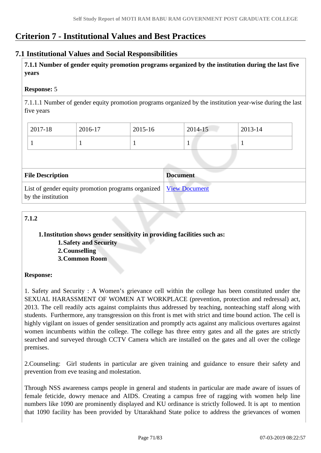# **Criterion 7 - Institutional Values and Best Practices**

# **7.1 Institutional Values and Social Responsibilities**

 **7.1.1 Number of gender equity promotion programs organized by the institution during the last five years** 

### **Response:** 5

7.1.1.1 Number of gender equity promotion programs organized by the institution year-wise during the last five years

| 2017-18 | 2016-17 | 2015-16 | $2014 - 15$ | 2013-14 |
|---------|---------|---------|-------------|---------|
|         |         |         |             |         |

| <b>File Description</b>                                                                  | <b>Document</b> |
|------------------------------------------------------------------------------------------|-----------------|
| List of gender equity promotion programs organized   View Document<br>by the institution |                 |

# **7.1.2**

### **1.Institution shows gender sensitivity in providing facilities such as:**

**1.Safety and Security**

- **2.Counselling**
- **3.Common Room**

### **Response:**

1. Safety and Security : A Women's grievance cell within the college has been constituted under the SEXUAL HARASSMENT OF WOMEN AT WORKPLACE (prevention, protection and redressal) act, 2013. The cell readily acts against complaints thus addressed by teaching, nonteaching staff along with students. Furthermore, any transgression on this front is met with strict and time bound action. The cell is highly vigilant on issues of gender sensitization and promptly acts against any malicious overtures against women incumbents within the college. The college has three entry gates and all the gates are strictly searched and surveyed through CCTV Camera which are installed on the gates and all over the college premises.

2.Counseling: Girl students in particular are given training and guidance to ensure their safety and prevention from eve teasing and molestation.

Through NSS awareness camps people in general and students in particular are made aware of issues of female feticide, dowry menace and AIDS. Creating a campus free of ragging with women help line numbers like 1090 are prominently displayed and KU ordinance is strictly followed. It is apt to mention that 1090 facility has been provided by Uttarakhand State police to address the grievances of women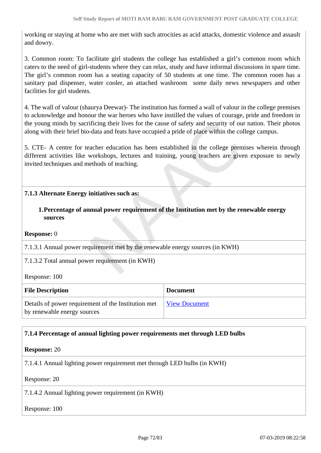working or staying at home who are met with such atrocities as acid attacks, domestic violence and assault and dowry.

3. Common room: To facilitate girl students the college has established a girl's common room which caters to the need of girl-students where they can relax, study and have informal discussions in spare time. The girl's common room has a seating capacity of 50 students at one time. The common room has a sanitary pad dispenser, water cooler, an attached washroom some daily news newspapers and other facilities for girl students.

4. The wall of valour (shaurya Deewar)- The institution has formed a wall of valour in the college premises to acknowledge and honour the war heroes who have instilled the values of courage, pride and freedom in the young minds by sacrificing their lives for the cause of safety and security of our nation. Their photos along with their brief bio-data and feats have occupied a pride of place within the college campus.

5. CTE- A centre for teacher education has been established in the college premises wherein through different activities like workshops, lectures and training, young teachers are given exposure to newly invited techniques and methods of teaching.

# **7.1.3 Alternate Energy initiatives such as:**

# **1.Percentage of annual power requirement of the Institution met by the renewable energy sources**

**Response:** 0

7.1.3.1 Annual power requirement met by the renewable energy sources (in KWH)

### 7.1.3.2 Total annual power requirement (in KWH)

Response: 100

| <b>File Description</b>                                                            | <b>Document</b> |
|------------------------------------------------------------------------------------|-----------------|
| Details of power requirement of the Institution met<br>by renewable energy sources | View Document   |

### **7.1.4 Percentage of annual lighting power requirements met through LED bulbs**

**Response:** 20

7.1.4.1 Annual lighting power requirement met through LED bulbs (in KWH)

Response: 20

7.1.4.2 Annual lighting power requirement (in KWH)

#### Response: 100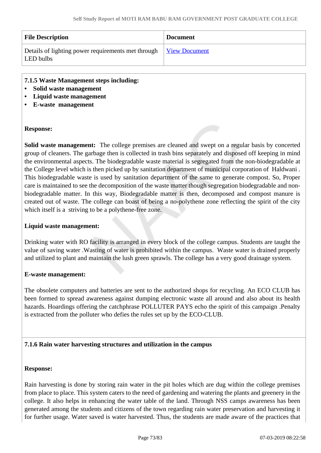| <b>File Description</b>                                         | <b>Document</b>      |
|-----------------------------------------------------------------|----------------------|
| Details of lighting power requirements met through<br>LED bulbs | <b>View Document</b> |

## **7.1.5 Waste Management steps including:**

- **Solid waste management**
- **Liquid waste management**
- **E-waste management**

#### **Response:**

**Solid waste management:** The college premises are cleaned and swept on a regular basis by concerted group of cleaners. The garbage then is collected in trash bins separately and disposed off keeping in mind the environmental aspects. The biodegradable waste material is segregated from the non-biodegradable at the College level which is then picked up by sanitation department of municipal corporation of Haldwani . This biodegradable waste is used by sanitation department of the same to generate compost. So, Proper care is maintained to see the decomposition of the waste matter though segregation biodegradable and nonbiodegradable matter. In this way, Biodegradable matter is then, decomposed and compost manure is created out of waste. The college can boast of being a no-polythene zone reflecting the spirit of the city which itself is a striving to be a polythene-free zone.

#### **Liquid waste management:**

Drinking water with RO facility is arranged in every block of the college campus. Students are taught the value of saving water .Wasting of water is prohibited within the campus. Waste water is drained properly and utilized to plant and maintain the lush green sprawls. The college has a very good drainage system.

#### **E-waste management:**

The obsolete computers and batteries are sent to the authorized shops for recycling. An ECO CLUB has been formed to spread awareness against dumping electronic waste all around and also about its health hazards. Hoardings offering the catchphrase POLLUTER PAYS echo the spirit of this campaign .Penalty is extracted from the polluter who defies the rules set up by the ECO-CLUB.

## **7.1.6 Rain water harvesting structures and utilization in the campus**

#### **Response:**

Rain harvesting is done by storing rain water in the pit holes which are dug within the college premises from place to place. This system caters to the need of gardening and watering the plants and greenery in the college. It also helps in enhancing the water table of the land. Through NSS camps awareness has been generated among the students and citizens of the town regarding rain water preservation and harvesting it for further usage. Water saved is water harvested. Thus, the students are made aware of the practices that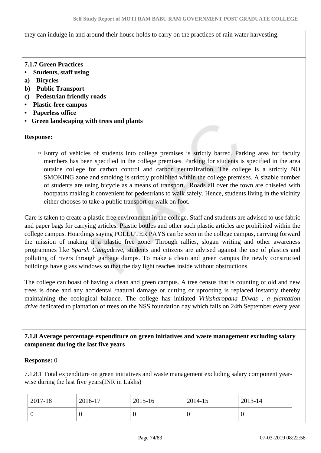they can indulge in and around their house holds to carry on the practices of rain water harvesting.

# **7.1.7 Green Practices**

- **Students, staff using**
- **a) Bicycles**
- **b) Public Transport**
- **c) Pedestrian friendly roads**
- **Plastic-free campus**
- **Paperless office**
- **Green landscaping with trees and plants**

# **Response:**

Entry of vehicles of students into college premises is strictly barred. Parking area for faculty members has been specified in the college premises. Parking for students is specified in the area outside college for carbon control and carbon neutralization. The college is a strictly NO SMOKING zone and smoking is strictly prohibited within the college premises. A sizable number of students are using bicycle as a means of transport. Roads all over the town are chiseled with footpaths making it convenient for pedestrians to walk safely. Hence, students living in the vicinity either chooses to take a public transport or walk on foot.

Care is taken to create a plastic free environment in the college. Staff and students are advised to use fabric and paper bags for carrying articles. Plastic bottles and other such plastic articles are prohibited within the college campus. Hoardings saying POLLUTER PAYS can be seen in the college campus, carrying forward the mission of making it a plastic free zone. Through rallies, slogan writing and other awareness programmes like *Sparsh Ganga*drive, students and citizens are advised against the use of plastics and polluting of rivers through garbage dumps. To make a clean and green campus the newly constructed buildings have glass windows so that the day light reaches inside without obstructions.

The college can boast of having a clean and green campus. A tree census that is counting of old and new trees is done and any accidental /natural damage or cutting or uprooting is replaced instantly thereby maintaining the ecological balance. The college has initiated *Vriksharopana Diwas , a plantation drive* dedicated to plantation of trees on the NSS foundation day which falls on 24th September every year.

## **7.1.8 Average percentage expenditure on green initiatives and waste management excluding salary component during the last five years**

## **Response:** 0

7.1.8.1 Total expenditure on green initiatives and waste management excluding salary component yearwise during the last five years(INR in Lakhs)

| 2017-18 | 2016-17 | 2015-16 | 2014-15 | 2013-14 |
|---------|---------|---------|---------|---------|
|         |         | ν       | ν       | v       |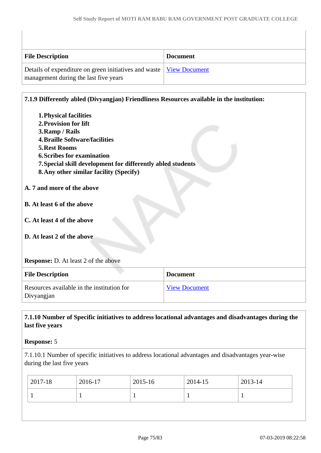| <b>File Description</b>                                                                                        | <b>Document</b> |
|----------------------------------------------------------------------------------------------------------------|-----------------|
| Details of expenditure on green initiatives and waste   View Document<br>management during the last five years |                 |

## **7.1.9 Differently abled (Divyangjan) Friendliness Resources available in the institution:**

**1.Physical facilities 2.Provision for lift 3.Ramp / Rails 4.Braille Software/facilities 5.Rest Rooms 6.Scribes for examination 7.Special skill development for differently abled students 8.Any other similar facility (Specify) A. 7 and more of the above B. At least 6 of the above C. At least 4 of the above D. At least 2 of the above Response:** D. At least 2 of the above **File Description Document** Resources available in the institution for [View Document](https://assessmentonline.naac.gov.in/storage/app/hei/SSR/102560/7.1.9_1551341035_2616.xlsx)

Divyangjan

# **7.1.10 Number of Specific initiatives to address locational advantages and disadvantages during the last five years**

#### **Response:** 5

7.1.10.1 Number of specific initiatives to address locational advantages and disadvantages year-wise during the last five years

| $ 2017-18 $ | 2016-17 | 2015-16 | $2014 - 15$ | $2013 - 14$ |
|-------------|---------|---------|-------------|-------------|
|             |         |         |             |             |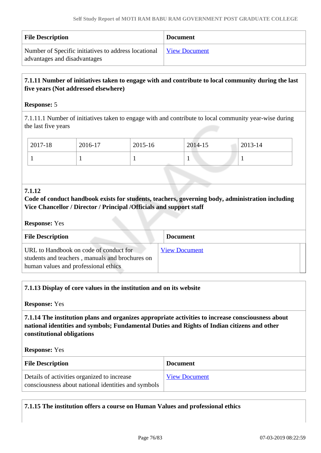| <b>File Description</b>                                                              | <b>Document</b>      |
|--------------------------------------------------------------------------------------|----------------------|
| Number of Specific initiatives to address locational<br>advantages and disadvantages | <b>View Document</b> |

# **7.1.11 Number of initiatives taken to engage with and contribute to local community during the last five years (Not addressed elsewhere)**

# **Response:** 5

7.1.11.1 Number of initiatives taken to engage with and contribute to local community year-wise during the last five years

| 2017-18 | 2016-17 | 2015-16 | 2014-15 | $2013 - 14$ |
|---------|---------|---------|---------|-------------|
|         |         |         |         |             |

#### **7.1.12**

## **Code of conduct handbook exists for students, teachers, governing body, administration including Vice Chancellor / Director / Principal /Officials and support staff**

#### **Response:** Yes

| <b>File Description</b>                                                                                                           | <b>Document</b>      |
|-----------------------------------------------------------------------------------------------------------------------------------|----------------------|
| URL to Handbook on code of conduct for<br>students and teachers, manuals and brochures on<br>human values and professional ethics | <b>View Document</b> |

## **7.1.13 Display of core values in the institution and on its website**

**Response:** Yes

 **7.1.14 The institution plans and organizes appropriate activities to increase consciousness about national identities and symbols; Fundamental Duties and Rights of Indian citizens and other constitutional obligations**

**Response:** Yes

| <b>File Description</b>                                                                            | <b>Document</b>      |
|----------------------------------------------------------------------------------------------------|----------------------|
| Details of activities organized to increase<br>consciousness about national identities and symbols | <b>View Document</b> |

**7.1.15 The institution offers a course on Human Values and professional ethics**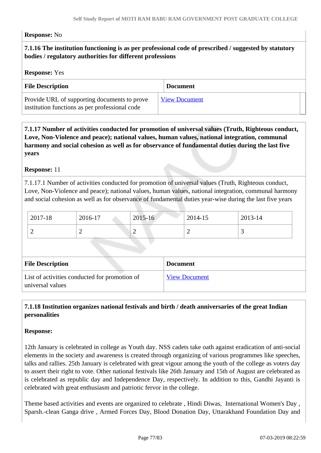#### **Response:** No

# **7.1.16 The institution functioning is as per professional code of prescribed / suggested by statutory bodies / regulatory authorities for different professions**

#### **Response:** Yes

| <b>File Description</b>                                                                        | <b>Document</b>      |
|------------------------------------------------------------------------------------------------|----------------------|
| Provide URL of supporting documents to prove<br>institution functions as per professional code | <b>View Document</b> |

 **7.1.17 Number of activities conducted for promotion of universal values (Truth, Righteous conduct, Love, Non-Violence and peace); national values, human values, national integration, communal harmony and social cohesion as well as for observance of fundamental duties during the last five years**

#### **Response:** 11

7.1.17.1 Number of activities conducted for promotion of universal values (Truth, Righteous conduct, Love, Non-Violence and peace); national values, human values, national integration, communal harmony and social cohesion as well as for observance of fundamental duties year-wise during the last five years

| $12017 - 18$  | 2016-17 | 2015-16 | 2014-15 | 2013-14 |
|---------------|---------|---------|---------|---------|
| ∸<br><u>_</u> |         |         | -       |         |

| <b>File Description</b>                                           | <b>Document</b>      |
|-------------------------------------------------------------------|----------------------|
| List of activities conducted for promotion of<br>universal values | <b>View Document</b> |

# **7.1.18 Institution organizes national festivals and birth / death anniversaries of the great Indian personalities**

#### **Response:**

12th January is celebrated in college as Youth day. NSS cadets take oath against eradication of anti-social elements in the society and awareness is created through organizing of various programmes like speeches, talks and rallies. 25th January is celebrated with great vigour among the youth of the college as voters day to assert their right to vote. Other national festivals like 26th January and 15th of August are celebrated as is celebrated as republic day and Independence Day, respectively. In addition to this, Gandhi Jayanti is celebrated with great enthusiasm and patriotic fervor in the college.

Theme based activities and events are organized to celebrate , Hindi Diwas, International Women's Day , Sparsh.-clean Ganga drive , Armed Forces Day, Blood Donation Day, Uttarakhand Foundation Day and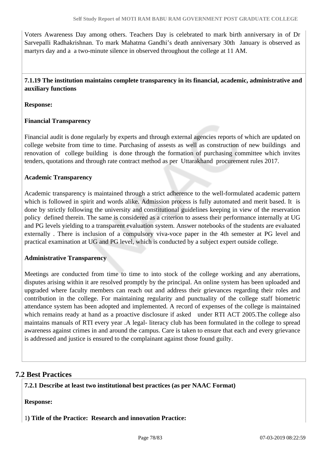Voters Awareness Day among others. Teachers Day is celebrated to mark birth anniversary in of Dr Sarvepalli Radhakrishnan. To mark Mahatma Gandhi's death anniversary 30th January is observed as martyrs day and a a two-minute silence in observed throughout the college at 11 AM.

 **7.1.19 The institution maintains complete transparency in its financial, academic, administrative and auxiliary functions**

**Response:** 

## **Financial Transparency**

Financial audit is done regularly by experts and through external agencies reports of which are updated on college website from time to time. Purchasing of assests as well as construction of new buildings and renovation of college building is done through the formation of purchasing committee which invites tenders, quotations and through rate contract method as per Uttarakhand procurement rules 2017.

## **Academic Transparency**

Academic transparency is maintained through a strict adherence to the well-formulated academic pattern which is followed in spirit and words alike. Admission process is fully automated and merit based. It is done by strictly following the university and constitutional guidelines keeping in view of the reservation policy defined therein. The same is considered as a criterion to assess their performance internally at UG and PG levels yielding to a transparent evaluation system. Answer notebooks of the students are evaluated externally . There is inclusion of a compulsory viva-voce paper in the 4th semester at PG level and practical examination at UG and PG level, which is conducted by a subject expert outside college.

## **Administrative Transparency**

Meetings are conducted from time to time to into stock of the college working and any aberrations, disputes arising within it are resolved promptly by the principal. An online system has been uploaded and upgraded where faculty members can reach out and address their grievances regarding their roles and contribution in the college. For maintaining regularity and punctuality of the college staff biometric attendance system has been adopted and implemented. A record of expenses of the college is maintained which remains ready at hand as a proactive disclosure if asked under RTI ACT 2005. The college also maintains manuals of RTI every year .A legal- literacy club has been formulated in the college to spread awareness against crimes in and around the campus. Care is taken to ensure that each and every grievance is addressed and justice is ensured to the complainant against those found guilty.

# **7.2 Best Practices**

**7.2.1 Describe at least two institutional best practices (as per NAAC Format)**

**Response:** 

1**) Title of the Practice: Research and innovation Practice:**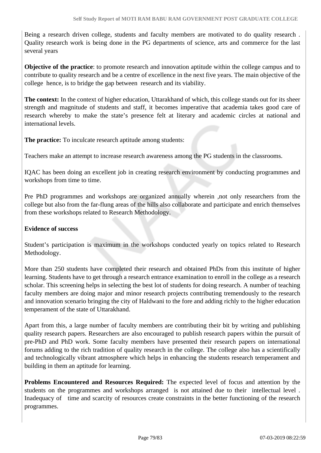Being a research driven college, students and faculty members are motivated to do quality research . Quality research work is being done in the PG departments of science, arts and commerce for the last several years

**Objective of the practice**: to promote research and innovation aptitude within the college campus and to contribute to quality research and be a centre of excellence in the next five years. The main objective of the college hence, is to bridge the gap between research and its viability.

**The context:** In the context of higher education, Uttarakhand of which, this college stands out for its sheer strength and magnitude of students and staff, it becomes imperative that academia takes good care of research whereby to make the state's presence felt at literary and academic circles at national and international levels.

**The practice:** To inculcate research aptitude among students:

Teachers make an attempt to increase research awareness among the PG students in the classrooms.

IQAC has been doing an excellent job in creating research environment by conducting programmes and workshops from time to time.

Pre PhD programmes and workshops are organized annually wherein ,not only researchers from the college but also from the far-flung areas of the hills also collaborate and participate and enrich themselves from these workshops related to Research Methodology.

#### **Evidence of success**

Student's participation is maximum in the workshops conducted yearly on topics related to Research Methodology.

More than 250 students have completed their research and obtained PhDs from this institute of higher learning. Students have to get through a research entrance examination to enroll in the college as a research scholar. This screening helps in selecting the best lot of students for doing research. A number of teaching faculty members are doing major and minor research projects contributing tremendously to the research and innovation scenario bringing the city of Haldwani to the fore and adding richly to the higher education temperament of the state of Uttarakhand.

Apart from this, a large number of faculty members are contributing their bit by writing and publishing quality research papers. Researchers are also encouraged to publish research papers within the pursuit of pre-PhD and PhD work. Some faculty members have presented their research papers on international forums adding to the rich tradition of quality research in the college. The college also has a scientifically and technologically vibrant atmosphere which helps in enhancing the students research temperament and building in them an aptitude for learning.

**Problems Encountered and Resources Required:** The expected level of focus and attention by the students on the programmes and workshops arranged is not attained due to their intellectual level . Inadequacy of time and scarcity of resources create constraints in the better functioning of the research programmes.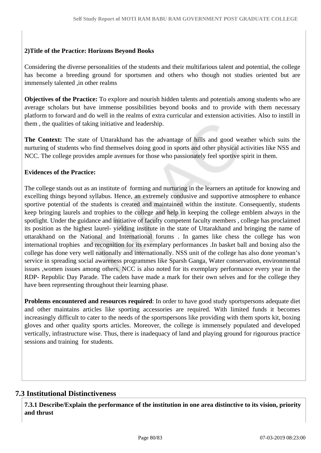## **2)Title of the Practice: Horizons Beyond Books**

Considering the diverse personalities of the students and their multifarious talent and potential, the college has become a breeding ground for sportsmen and others who though not studies oriented but are immensely talented ,in other realms

**Objectives of the Practice:** To explore and nourish hidden talents and potentials among students who are average scholars but have immense possibilities beyond books and to provide with them necessary platform to forward and do well in the realms of extra curricular and extension activities. Also to instill in them , the qualities of taking initiative and leadership.

**The Context:** The state of Uttarakhand has the advantage of hills and good weather which suits the nurturing of students who find themselves doing good in sports and other physical activities like NSS and NCC. The college provides ample avenues for those who passionately feel sportive spirit in them.

#### **Evidences of the Practice:**

The college stands out as an institute of forming and nurturing in the learners an aptitude for knowing and excelling things beyond syllabus. Hence, an extremely condusive and supportive atmosphere to enhance sportive potential of the students is created and maintained within the institute. Consequently, students keep bringing laurels and trophies to the college and help in keeping the college emblem always in the spotlight. Under the guidance and initiative of faculty competent faculty members , college has proclaimed its position as the highest laurel- yielding institute in the state of Uttarakhand and bringing the name of uttarakhand on the National and International forums . In games like chess the college has won international trophies and recognition for its exemplary performances .In basket ball and boxing also the college has done very well nationally and internationally. NSS unit of the college has also done yeoman's service in spreading social awareness programmes like Sparsh Ganga, Water conservation, environmental issues ,women issues among others. NCC is also noted for its exemplary performance every year in the RDP- Republic Day Parade. The cadets have made a mark for their own selves and for the college they have been representing throughout their learning phase.

**Problems encountered and resources required**: In order to have good study sportspersons adequate diet and other maintains articles like sporting accessories are required. With limited funds it becomes increasingly difficult to cater to the needs of the sportspersons like providing with them sports kit, boxing gloves and other quality sports articles. Moreover, the college is immensely populated and developed vertically, infrastructure wise. Thus, there is inadequacy of land and playing ground for rigourous practice sessions and training for students.

# **7.3 Institutional Distinctiveness**

 **7.3.1 Describe/Explain the performance of the institution in one area distinctive to its vision, priority and thrust**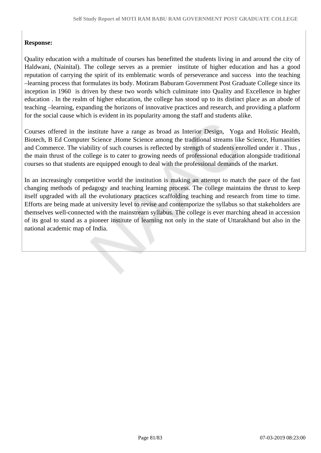# **Response:**

Quality education with a multitude of courses has benefitted the students living in and around the city of Haldwani, (Nainital). The college serves as a premier institute of higher education and has a good reputation of carrying the spirit of its emblematic words of perseverance and success into the teaching –learning process that formulates its body. Motiram Baburam Government Post Graduate College since its inception in 1960 is driven by these two words which culminate into Quality and Excellence in higher education . In the realm of higher education, the college has stood up to its distinct place as an abode of teaching –learning, expanding the horizons of innovative practices and research, and providing a platform for the social cause which is evident in its popularity among the staff and students alike.

Courses offered in the institute have a range as broad as Interior Design, Yoga and Holistic Health, Biotech, B Ed Computer Science ,Home Science among the traditional streams like Science, Humanities and Commerce. The viability of such courses is reflected by strength of students enrolled under it . Thus , the main thrust of the college is to cater to growing needs of professional education alongside traditional courses so that students are equipped enough to deal with the professional demands of the market.

In an increasingly competitive world the institution is making an attempt to match the pace of the fast changing methods of pedagogy and teaching learning process. The college maintains the thrust to keep itself upgraded with all the evolutionary practices scaffolding teaching and research from time to time. Efforts are being made at university level to revise and contemporize the syllabus so that stakeholders are themselves well-connected with the mainstream syllabus. The college is ever marching ahead in accession of its goal to stand as a pioneer institute of learning not only in the state of Uttarakhand but also in the national academic map of India.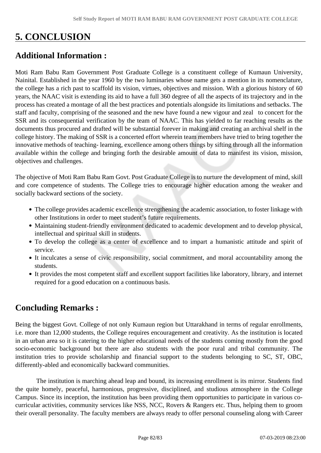# **5. CONCLUSION**

# **Additional Information :**

Moti Ram Babu Ram Government Post Graduate College is a constituent college of Kumaun University, Nainital. Established in the year 1960 by the two luminaries whose name gets a mention in its nomenclature, the college has a rich past to scaffold its vision, virtues, objectives and mission. With a glorious history of 60 years, the NAAC visit is extending its aid to have a full 360 degree of all the aspects of its trajectory and in the process has created a montage of all the best practices and potentials alongside its limitations and setbacks. The staff and faculty, comprising of the seasoned and the new have found a new vigour and zeal to concert for the SSR and its consequential verification by the team of NAAC. This has yielded to far reaching results as the documents thus procured and drafted will be substantial forever in making and creating an archival shelf in the college history. The making of SSR is a concerted effort wherein team members have tried to bring together the innovative methods of teaching- learning, excellence among others things by sifting through all the information available within the college and bringing forth the desirable amount of data to manifest its vision, mission, objectives and challenges.

The objective of Moti Ram Babu Ram Govt. Post Graduate College is to nurture the development of mind, skill and core competence of students. The College tries to encourage higher education among the weaker and socially backward sections of the society.

- The college provides academic excellence strengthening the academic association, to foster linkage with other Institutions in order to meet student's future requirements.
- Maintaining student-friendly environment dedicated to academic development and to develop physical, intellectual and spiritual skill in students.
- To develop the college as a center of excellence and to impart a humanistic attitude and spirit of service.
- It inculcates a sense of civic responsibility, social commitment, and moral accountability among the students.
- It provides the most competent staff and excellent support facilities like laboratory, library, and internet required for a good education on a continuous basis.

# **Concluding Remarks :**

Being the biggest Govt. College of not only Kumaun region but Uttarakhand in terms of regular enrollments, i.e. more than 12,000 students, the College requires encouragement and creativity. As the institution is located in an urban area so it is catering to the higher educational needs of the students coming mostly from the good socio-economic background but there are also students with the poor rural and tribal community. The institution tries to provide scholarship and financial support to the students belonging to SC, ST, OBC, differently-abled and economically backward communities.

 The institution is marching ahead leap and bound, its increasing enrollment is its mirror. Students find the quite homely, peaceful, harmonious, progressive, disciplined, and studious atmosphere in the College Campus. Since its inception, the institution has been providing them opportunities to participate in various cocurricular activities, community services like NSS, NCC, Rovers & Rangers etc. Thus, helping them to groom their overall personality. The faculty members are always ready to offer personal counseling along with Career